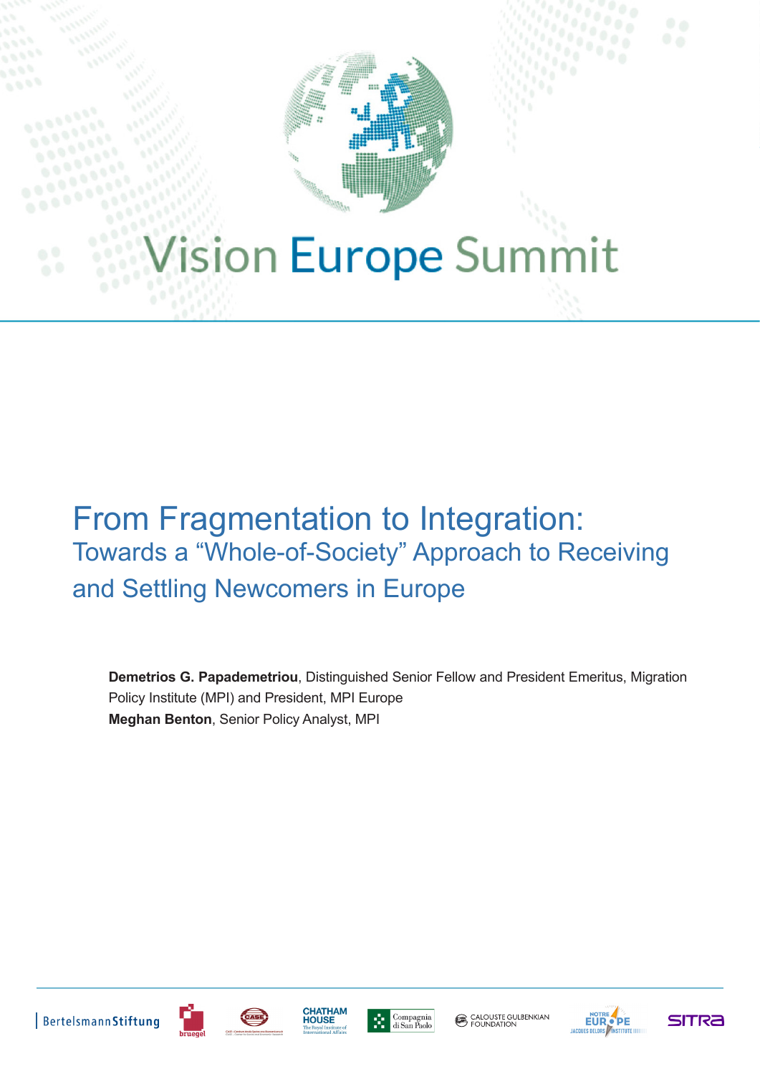## From Fragmentation to Integration: Towards a "Whole-of-Society" Approach to Receiving and Settling Newcomers in Europe

**Demetrios G. Papademetriou**, Distinguished Senior Fellow and President Emeritus, Migration Policy Institute (MPI) and President, MPI Europe **Meghan Benton**, Senior Policy Analyst, MPI











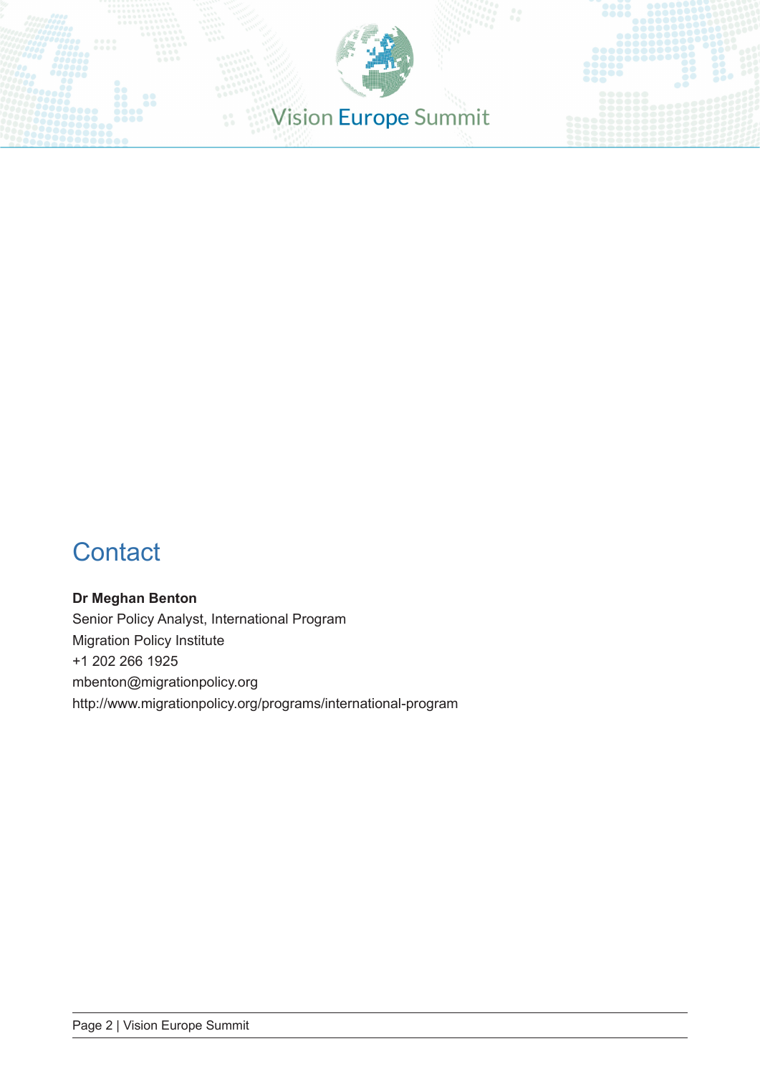

## **Contact**

### **Dr Meghan Benton**

Senior Policy Analyst, International Program Migration Policy Institute +1 202 266 1925 mbenton@migrationpolicy.org http://www.migrationpolicy.org/programs/international-program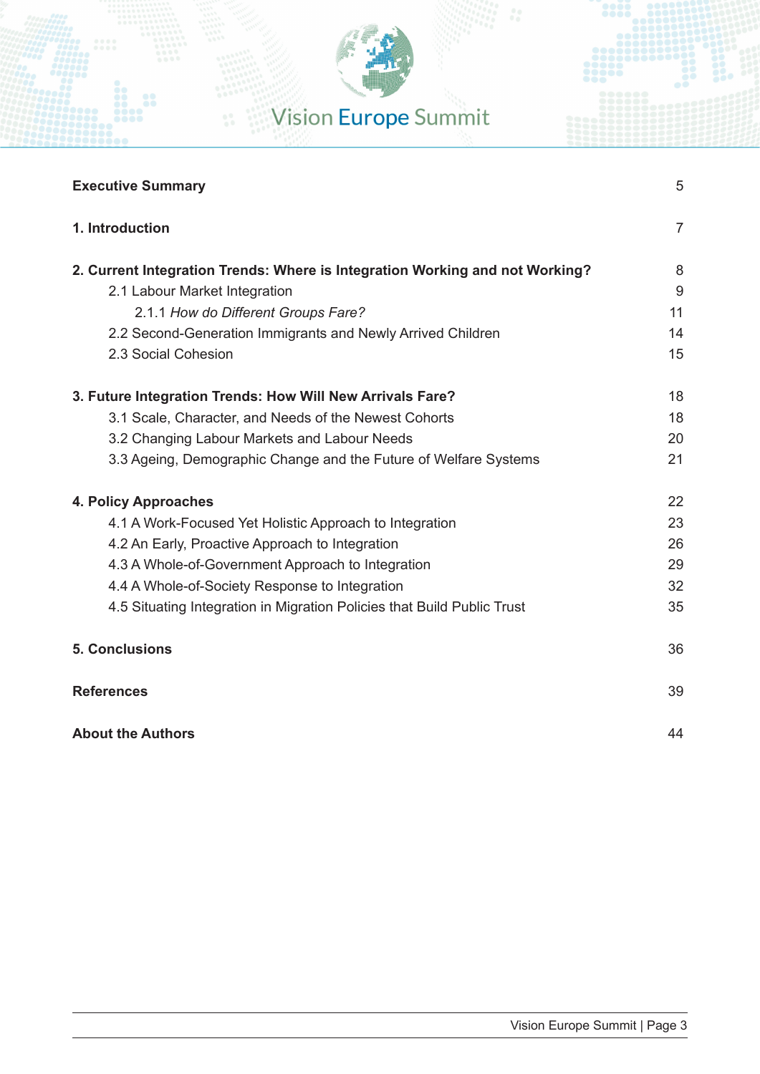

| <b>Executive Summary</b>                                                     | 5              |
|------------------------------------------------------------------------------|----------------|
| 1. Introduction                                                              | $\overline{7}$ |
| 2. Current Integration Trends: Where is Integration Working and not Working? | 8              |
| 2.1 Labour Market Integration                                                | 9              |
| 2.1.1 How do Different Groups Fare?                                          | 11             |
| 2.2 Second-Generation Immigrants and Newly Arrived Children                  | 14             |
| 2.3 Social Cohesion                                                          | 15             |
| 3. Future Integration Trends: How Will New Arrivals Fare?                    | 18             |
| 3.1 Scale, Character, and Needs of the Newest Cohorts                        | 18             |
| 3.2 Changing Labour Markets and Labour Needs                                 | 20             |
| 3.3 Ageing, Demographic Change and the Future of Welfare Systems             | 21             |
| 4. Policy Approaches                                                         | 22             |
| 4.1 A Work-Focused Yet Holistic Approach to Integration                      | 23             |
| 4.2 An Early, Proactive Approach to Integration                              | 26             |
| 4.3 A Whole-of-Government Approach to Integration                            | 29             |
| 4.4 A Whole-of-Society Response to Integration                               | 32             |
| 4.5 Situating Integration in Migration Policies that Build Public Trust      | 35             |
| <b>5. Conclusions</b>                                                        | 36             |
| <b>References</b>                                                            | 39             |
| <b>About the Authors</b>                                                     | 44             |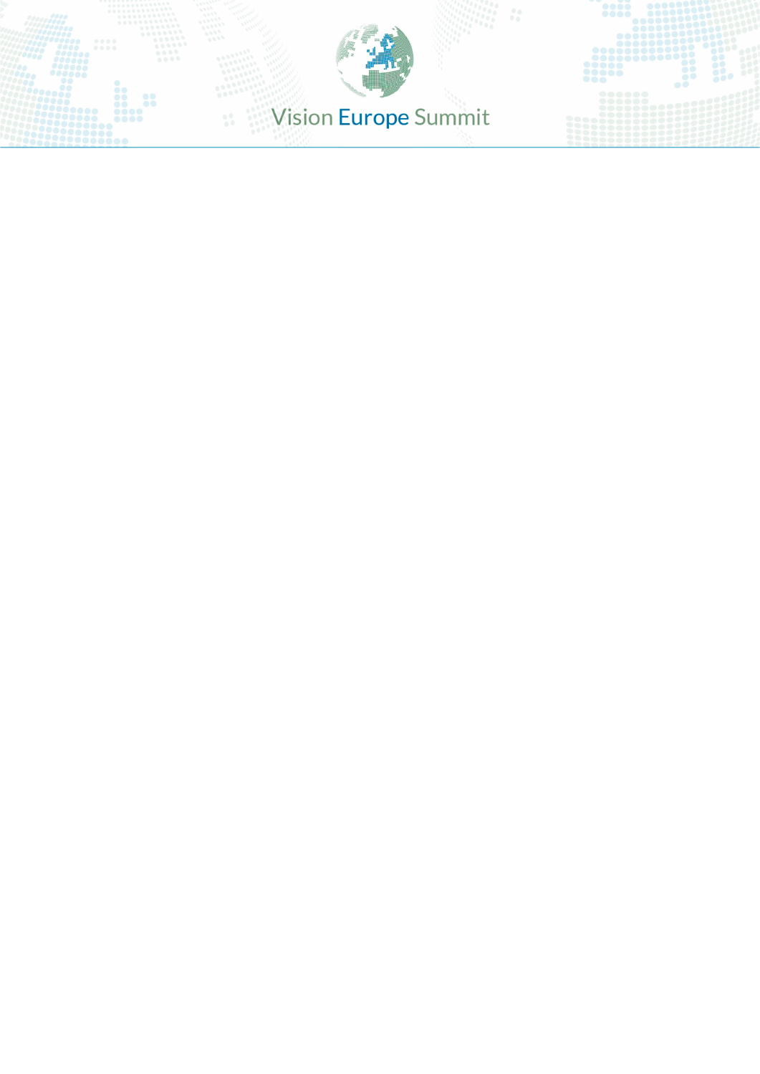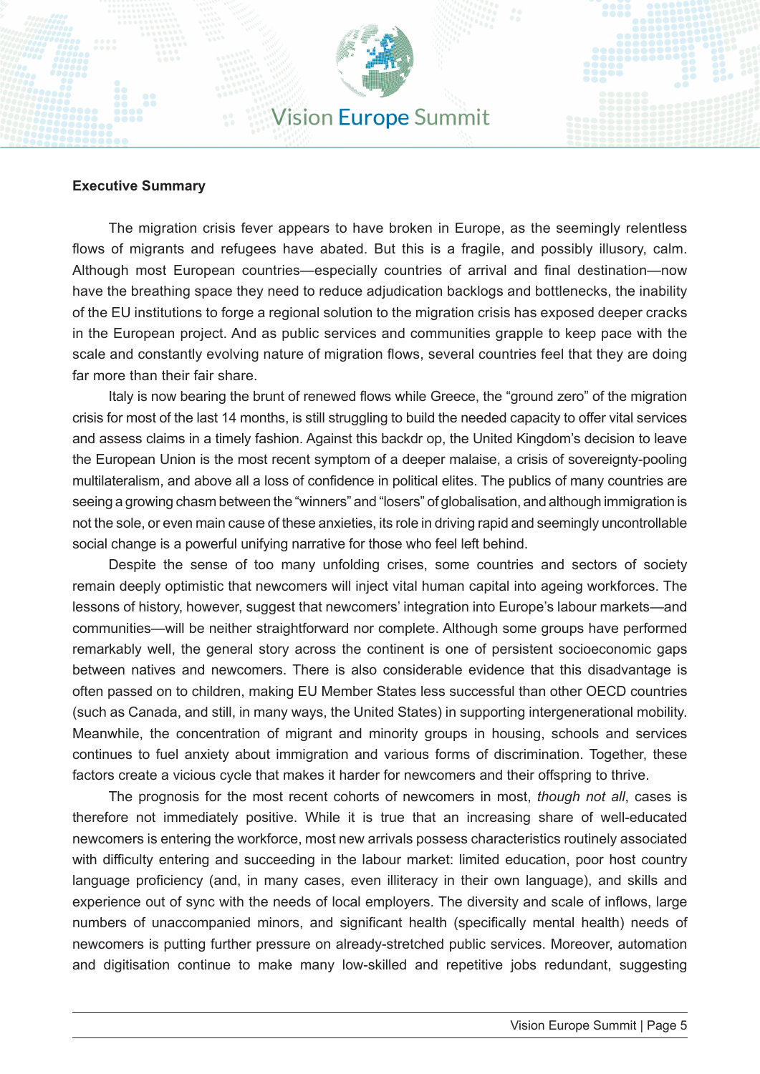#### **Executive Summary**

The migration crisis fever appears to have broken in Europe, as the seemingly relentless flows of migrants and refugees have abated. But this is a fragile, and possibly illusory, calm. Although most European countries—especially countries of arrival and final destination—now have the breathing space they need to reduce adjudication backlogs and bottlenecks, the inability of the EU institutions to forge a regional solution to the migration crisis has exposed deeper cracks in the European project. And as public services and communities grapple to keep pace with the scale and constantly evolving nature of migration flows, several countries feel that they are doing far more than their fair share.

Italy is now bearing the brunt of renewed flows while Greece, the "ground zero" of the migration crisis for most of the last 14 months, is still struggling to build the needed capacity to offer vital services and assess claims in a timely fashion. Against this backdr op, the United Kingdom's decision to leave the European Union is the most recent symptom of a deeper malaise, a crisis of sovereignty-pooling multilateralism, and above all a loss of confidence in political elites. The publics of many countries are seeing a growing chasm between the "winners" and "losers" of globalisation, and although immigration is not the sole, or even main cause of these anxieties, its role in driving rapid and seemingly uncontrollable social change is a powerful unifying narrative for those who feel left behind.

Despite the sense of too many unfolding crises, some countries and sectors of society remain deeply optimistic that newcomers will inject vital human capital into ageing workforces. The lessons of history, however, suggest that newcomers' integration into Europe's labour markets—and communities—will be neither straightforward nor complete. Although some groups have performed remarkably well, the general story across the continent is one of persistent socioeconomic gaps between natives and newcomers. There is also considerable evidence that this disadvantage is often passed on to children, making EU Member States less successful than other OECD countries (such as Canada, and still, in many ways, the United States) in supporting intergenerational mobility. Meanwhile, the concentration of migrant and minority groups in housing, schools and services continues to fuel anxiety about immigration and various forms of discrimination. Together, these factors create a vicious cycle that makes it harder for newcomers and their offspring to thrive.

The prognosis for the most recent cohorts of newcomers in most, *though not all*, cases is therefore not immediately positive. While it is true that an increasing share of well-educated newcomers is entering the workforce, most new arrivals possess characteristics routinely associated with difficulty entering and succeeding in the labour market: limited education, poor host country language proficiency (and, in many cases, even illiteracy in their own language), and skills and experience out of sync with the needs of local employers. The diversity and scale of inflows, large numbers of unaccompanied minors, and significant health (specifically mental health) needs of newcomers is putting further pressure on already-stretched public services. Moreover, automation and digitisation continue to make many low-skilled and repetitive jobs redundant, suggesting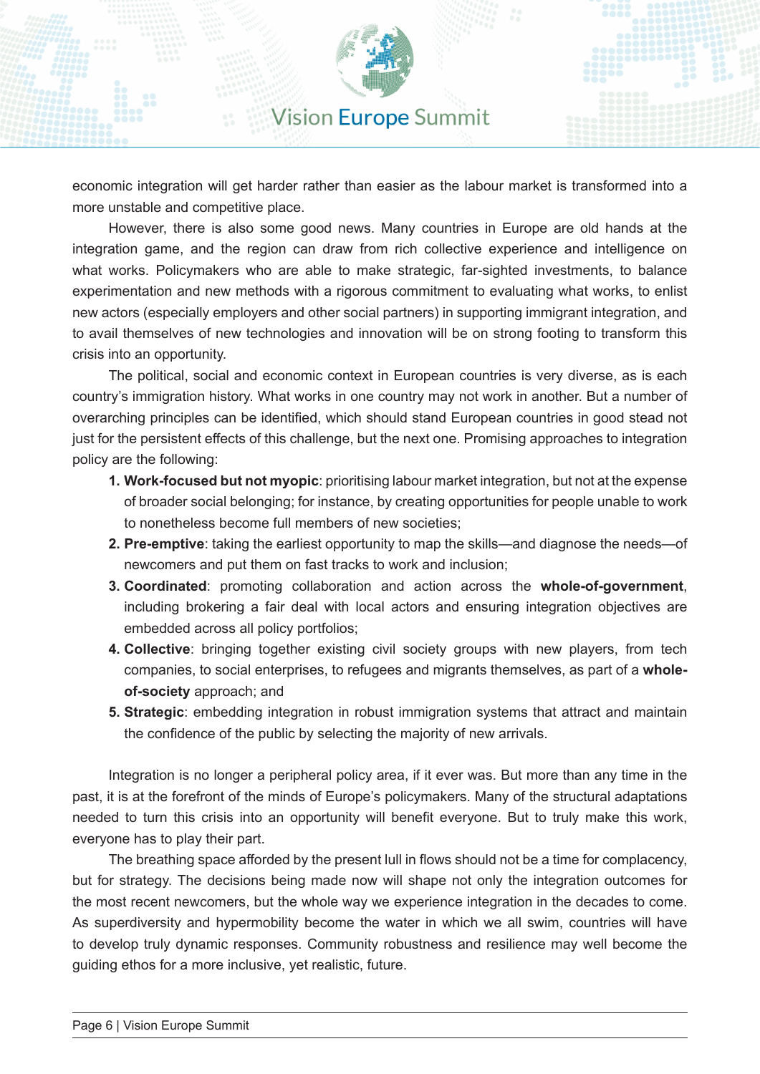

economic integration will get harder rather than easier as the labour market is transformed into a more unstable and competitive place.

However, there is also some good news. Many countries in Europe are old hands at the integration game, and the region can draw from rich collective experience and intelligence on what works. Policymakers who are able to make strategic, far-sighted investments, to balance experimentation and new methods with a rigorous commitment to evaluating what works, to enlist new actors (especially employers and other social partners) in supporting immigrant integration, and to avail themselves of new technologies and innovation will be on strong footing to transform this crisis into an opportunity.

The political, social and economic context in European countries is very diverse, as is each country's immigration history. What works in one country may not work in another. But a number of overarching principles can be identified, which should stand European countries in good stead not just for the persistent effects of this challenge, but the next one. Promising approaches to integration policy are the following:

- **1. Work-focused but not myopic**: prioritising labour market integration, but not at the expense of broader social belonging; for instance, by creating opportunities for people unable to work to nonetheless become full members of new societies;
- **2. Pre-emptive**: taking the earliest opportunity to map the skills—and diagnose the needs—of newcomers and put them on fast tracks to work and inclusion;
- **3. Coordinated**: promoting collaboration and action across the **whole-of-government**, including brokering a fair deal with local actors and ensuring integration objectives are embedded across all policy portfolios;
- **4. Collective**: bringing together existing civil society groups with new players, from tech companies, to social enterprises, to refugees and migrants themselves, as part of a **wholeof-society** approach; and
- **5. Strategic**: embedding integration in robust immigration systems that attract and maintain the confidence of the public by selecting the majority of new arrivals.

Integration is no longer a peripheral policy area, if it ever was. But more than any time in the past, it is at the forefront of the minds of Europe's policymakers. Many of the structural adaptations needed to turn this crisis into an opportunity will benefit everyone. But to truly make this work, everyone has to play their part.

The breathing space afforded by the present lull in flows should not be a time for complacency, but for strategy. The decisions being made now will shape not only the integration outcomes for the most recent newcomers, but the whole way we experience integration in the decades to come. As superdiversity and hypermobility become the water in which we all swim, countries will have to develop truly dynamic responses. Community robustness and resilience may well become the guiding ethos for a more inclusive, yet realistic, future.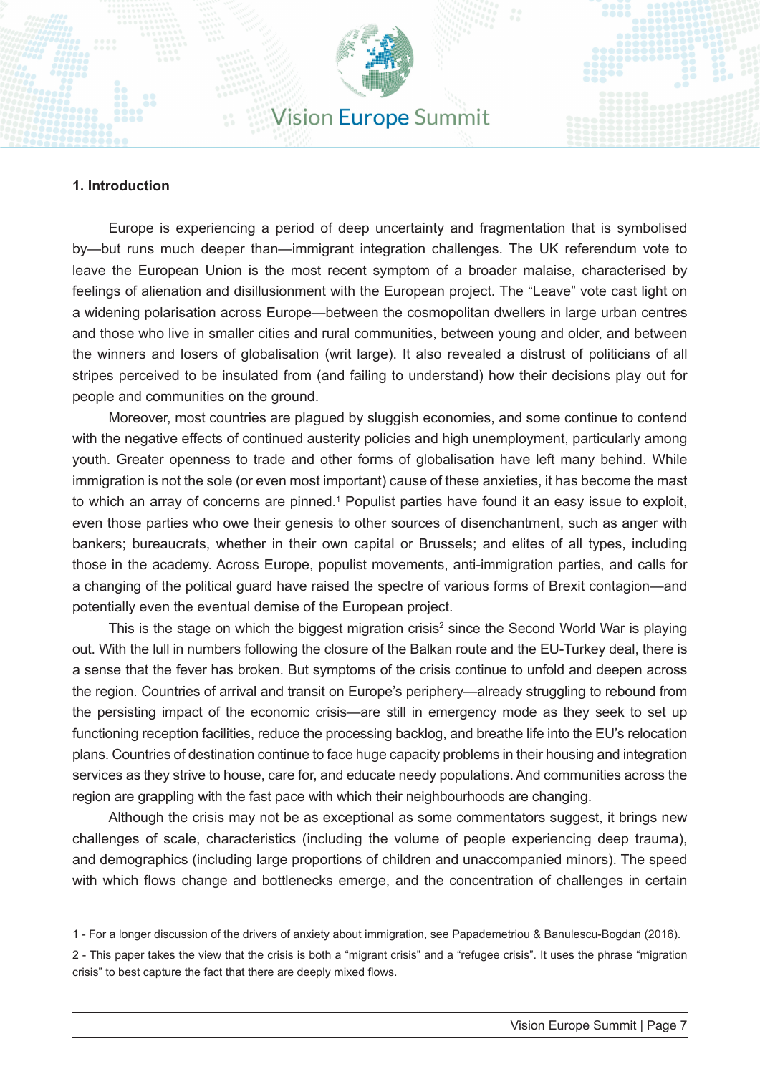#### **1. Introduction**

Europe is experiencing a period of deep uncertainty and fragmentation that is symbolised by—but runs much deeper than—immigrant integration challenges. The UK referendum vote to leave the European Union is the most recent symptom of a broader malaise, characterised by feelings of alienation and disillusionment with the European project. The "Leave" vote cast light on a widening polarisation across Europe—between the cosmopolitan dwellers in large urban centres and those who live in smaller cities and rural communities, between young and older, and between the winners and losers of globalisation (writ large). It also revealed a distrust of politicians of all stripes perceived to be insulated from (and failing to understand) how their decisions play out for people and communities on the ground.

Moreover, most countries are plagued by sluggish economies, and some continue to contend with the negative effects of continued austerity policies and high unemployment, particularly among youth. Greater openness to trade and other forms of globalisation have left many behind. While immigration is not the sole (or even most important) cause of these anxieties, it has become the mast to which an array of concerns are pinned.<sup>1</sup> Populist parties have found it an easy issue to exploit, even those parties who owe their genesis to other sources of disenchantment, such as anger with bankers; bureaucrats, whether in their own capital or Brussels; and elites of all types, including those in the academy. Across Europe, populist movements, anti-immigration parties, and calls for a changing of the political guard have raised the spectre of various forms of Brexit contagion—and potentially even the eventual demise of the European project.

This is the stage on which the biggest migration crisis<sup>2</sup> since the Second World War is playing out. With the lull in numbers following the closure of the Balkan route and the EU-Turkey deal, there is a sense that the fever has broken. But symptoms of the crisis continue to unfold and deepen across the region. Countries of arrival and transit on Europe's periphery—already struggling to rebound from the persisting impact of the economic crisis—are still in emergency mode as they seek to set up functioning reception facilities, reduce the processing backlog, and breathe life into the EU's relocation plans. Countries of destination continue to face huge capacity problems in their housing and integration services as they strive to house, care for, and educate needy populations. And communities across the region are grappling with the fast pace with which their neighbourhoods are changing.

Although the crisis may not be as exceptional as some commentators suggest, it brings new challenges of scale, characteristics (including the volume of people experiencing deep trauma), and demographics (including large proportions of children and unaccompanied minors). The speed with which flows change and bottlenecks emerge, and the concentration of challenges in certain

<sup>1 -</sup> For a longer discussion of the drivers of anxiety about immigration, see Papademetriou & Banulescu-Bogdan (2016).

<sup>2 -</sup> This paper takes the view that the crisis is both a "migrant crisis" and a "refugee crisis". It uses the phrase "migration crisis" to best capture the fact that there are deeply mixed flows.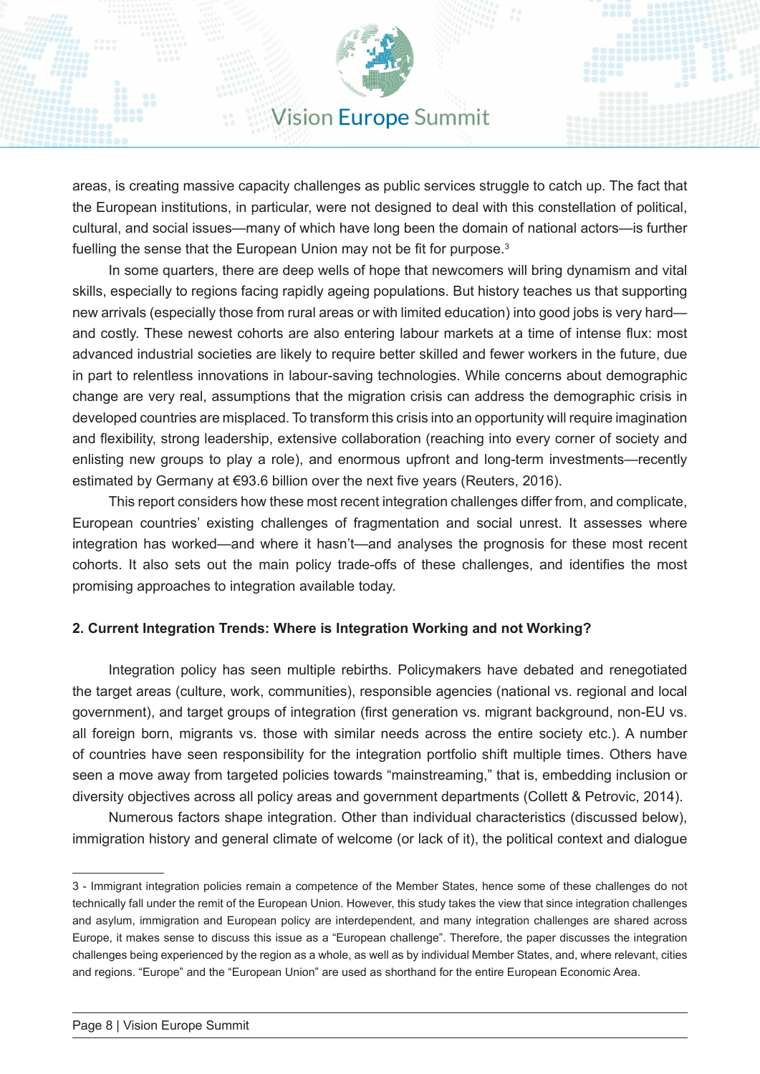

areas, is creating massive capacity challenges as public services struggle to catch up. The fact that the European institutions, in particular, were not designed to deal with this constellation of political, cultural, and social issues—many of which have long been the domain of national actors—is further fuelling the sense that the European Union may not be fit for purpose.<sup>3</sup>

In some quarters, there are deep wells of hope that newcomers will bring dynamism and vital skills, especially to regions facing rapidly ageing populations. But history teaches us that supporting new arrivals (especially those from rural areas or with limited education) into good jobs is very hard and costly. These newest cohorts are also entering labour markets at a time of intense flux: most advanced industrial societies are likely to require better skilled and fewer workers in the future, due in part to relentless innovations in labour-saving technologies. While concerns about demographic change are very real, assumptions that the migration crisis can address the demographic crisis in developed countries are misplaced. To transform this crisis into an opportunity will require imagination and flexibility, strong leadership, extensive collaboration (reaching into every corner of society and enlisting new groups to play a role), and enormous upfront and long-term investments—recently estimated by Germany at €93.6 billion over the next five years (Reuters, 2016).

This report considers how these most recent integration challenges differ from, and complicate, European countries' existing challenges of fragmentation and social unrest. It assesses where integration has worked—and where it hasn't—and analyses the prognosis for these most recent cohorts. It also sets out the main policy trade-offs of these challenges, and identifies the most promising approaches to integration available today.

#### **2. Current Integration Trends: Where is Integration Working and not Working?**

Integration policy has seen multiple rebirths. Policymakers have debated and renegotiated the target areas (culture, work, communities), responsible agencies (national vs. regional and local government), and target groups of integration (first generation vs. migrant background, non-EU vs. all foreign born, migrants vs. those with similar needs across the entire society etc.). A number of countries have seen responsibility for the integration portfolio shift multiple times. Others have seen a move away from targeted policies towards "mainstreaming," that is, embedding inclusion or diversity objectives across all policy areas and government departments (Collett & Petrovic, 2014).

Numerous factors shape integration. Other than individual characteristics (discussed below), immigration history and general climate of welcome (or lack of it), the political context and dialogue

<sup>3 -</sup> Immigrant integration policies remain a competence of the Member States, hence some of these challenges do not technically fall under the remit of the European Union. However, this study takes the view that since integration challenges and asylum, immigration and European policy are interdependent, and many integration challenges are shared across Europe, it makes sense to discuss this issue as a "European challenge". Therefore, the paper discusses the integration challenges being experienced by the region as a whole, as well as by individual Member States, and, where relevant, cities and regions. "Europe" and the "European Union" are used as shorthand for the entire European Economic Area.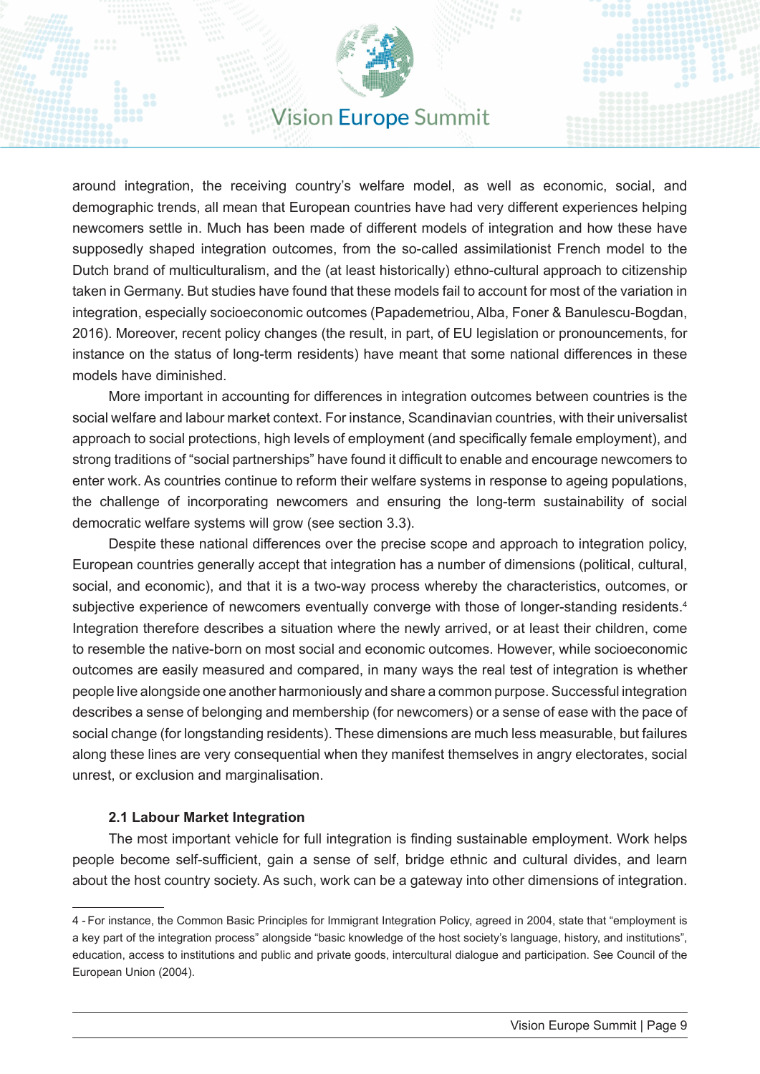

around integration, the receiving country's welfare model, as well as economic, social, and demographic trends, all mean that European countries have had very different experiences helping newcomers settle in. Much has been made of different models of integration and how these have supposedly shaped integration outcomes, from the so-called assimilationist French model to the Dutch brand of multiculturalism, and the (at least historically) ethno-cultural approach to citizenship taken in Germany. But studies have found that these models fail to account for most of the variation in integration, especially socioeconomic outcomes (Papademetriou, Alba, Foner & Banulescu-Bogdan, 2016). Moreover, recent policy changes (the result, in part, of EU legislation or pronouncements, for instance on the status of long-term residents) have meant that some national differences in these models have diminished.

More important in accounting for differences in integration outcomes between countries is the social welfare and labour market context. For instance, Scandinavian countries, with their universalist approach to social protections, high levels of employment (and specifically female employment), and strong traditions of "social partnerships" have found it difficult to enable and encourage newcomers to enter work. As countries continue to reform their welfare systems in response to ageing populations, the challenge of incorporating newcomers and ensuring the long-term sustainability of social democratic welfare systems will grow (see section 3.3).

Despite these national differences over the precise scope and approach to integration policy, European countries generally accept that integration has a number of dimensions (political, cultural, social, and economic), and that it is a two-way process whereby the characteristics, outcomes, or subjective experience of newcomers eventually converge with those of longer-standing residents.<sup>4</sup> Integration therefore describes a situation where the newly arrived, or at least their children, come to resemble the native-born on most social and economic outcomes. However, while socioeconomic outcomes are easily measured and compared, in many ways the real test of integration is whether people live alongside one another harmoniously and share a common purpose. Successful integration describes a sense of belonging and membership (for newcomers) or a sense of ease with the pace of social change (for longstanding residents). These dimensions are much less measurable, but failures along these lines are very consequential when they manifest themselves in angry electorates, social unrest, or exclusion and marginalisation.

#### **2.1 Labour Market Integration**

The most important vehicle for full integration is finding sustainable employment. Work helps people become self-sufficient, gain a sense of self, bridge ethnic and cultural divides, and learn about the host country society. As such, work can be a gateway into other dimensions of integration.

<sup>4 -</sup> For instance, the Common Basic Principles for Immigrant Integration Policy, agreed in 2004, state that "employment is a key part of the integration process" alongside "basic knowledge of the host society's language, history, and institutions", education, access to institutions and public and private goods, intercultural dialogue and participation. See Council of the European Union (2004).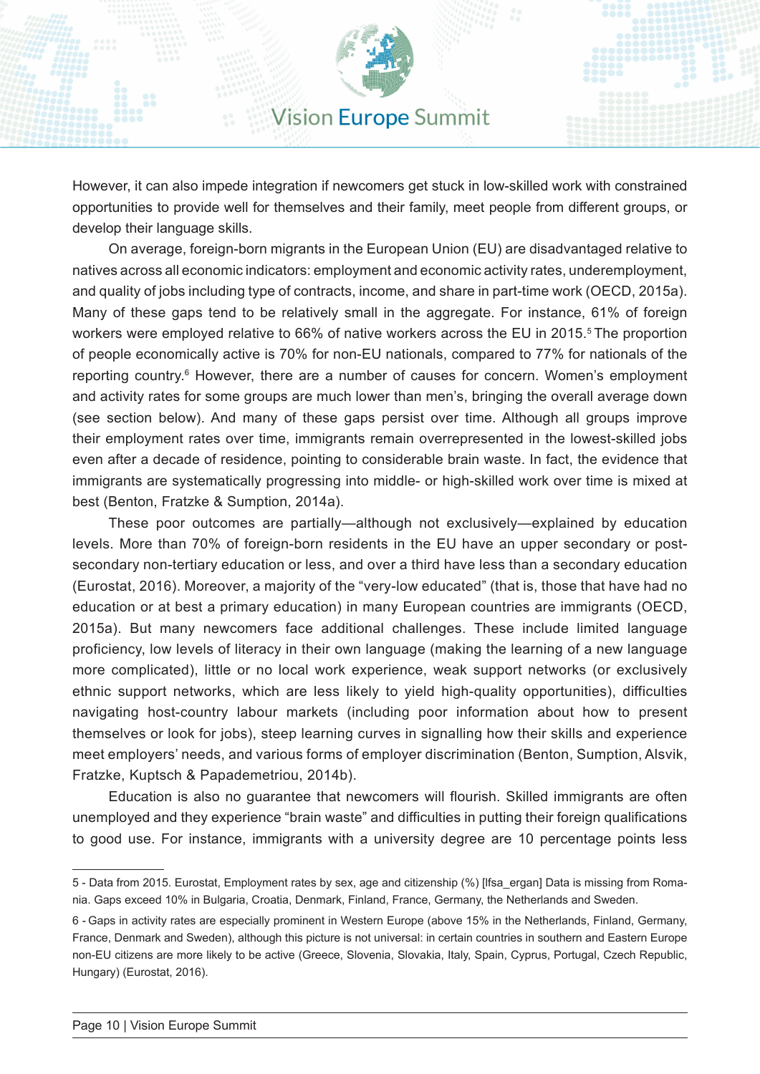

However, it can also impede integration if newcomers get stuck in low-skilled work with constrained opportunities to provide well for themselves and their family, meet people from different groups, or develop their language skills.

On average, foreign-born migrants in the European Union (EU) are disadvantaged relative to natives across all economic indicators: employment and economic activity rates, underemployment, and quality of jobs including type of contracts, income, and share in part-time work (OECD, 2015a). Many of these gaps tend to be relatively small in the aggregate. For instance, 61% of foreign workers were employed relative to 66% of native workers across the EU in 2015.<sup>5</sup> The proportion of people economically active is 70% for non-EU nationals, compared to 77% for nationals of the reporting country.<sup>6</sup> However, there are a number of causes for concern. Women's employment and activity rates for some groups are much lower than men's, bringing the overall average down (see section below). And many of these gaps persist over time. Although all groups improve their employment rates over time, immigrants remain overrepresented in the lowest-skilled jobs even after a decade of residence, pointing to considerable brain waste. In fact, the evidence that immigrants are systematically progressing into middle- or high-skilled work over time is mixed at best (Benton, Fratzke & Sumption, 2014a).

These poor outcomes are partially—although not exclusively—explained by education levels. More than 70% of foreign-born residents in the EU have an upper secondary or postsecondary non-tertiary education or less, and over a third have less than a secondary education (Eurostat, 2016). Moreover, a majority of the "very-low educated" (that is, those that have had no education or at best a primary education) in many European countries are immigrants (OECD, 2015a). But many newcomers face additional challenges. These include limited language proficiency, low levels of literacy in their own language (making the learning of a new language more complicated), little or no local work experience, weak support networks (or exclusively ethnic support networks, which are less likely to yield high-quality opportunities), difficulties navigating host-country labour markets (including poor information about how to present themselves or look for jobs), steep learning curves in signalling how their skills and experience meet employers' needs, and various forms of employer discrimination (Benton, Sumption, Alsvik, Fratzke, Kuptsch & Papademetriou, 2014b).

Education is also no guarantee that newcomers will flourish. Skilled immigrants are often unemployed and they experience "brain waste" and difficulties in putting their foreign qualifications to good use. For instance, immigrants with a university degree are 10 percentage points less

<sup>5 -</sup> Data from 2015. Eurostat, Employment rates by sex, age and citizenship (%) [lfsa\_ergan] Data is missing from Romania. Gaps exceed 10% in Bulgaria, Croatia, Denmark, Finland, France, Germany, the Netherlands and Sweden.

<sup>6 -</sup> Gaps in activity rates are especially prominent in Western Europe (above 15% in the Netherlands, Finland, Germany, France, Denmark and Sweden), although this picture is not universal: in certain countries in southern and Eastern Europe non-EU citizens are more likely to be active (Greece, Slovenia, Slovakia, Italy, Spain, Cyprus, Portugal, Czech Republic, Hungary) (Eurostat, 2016).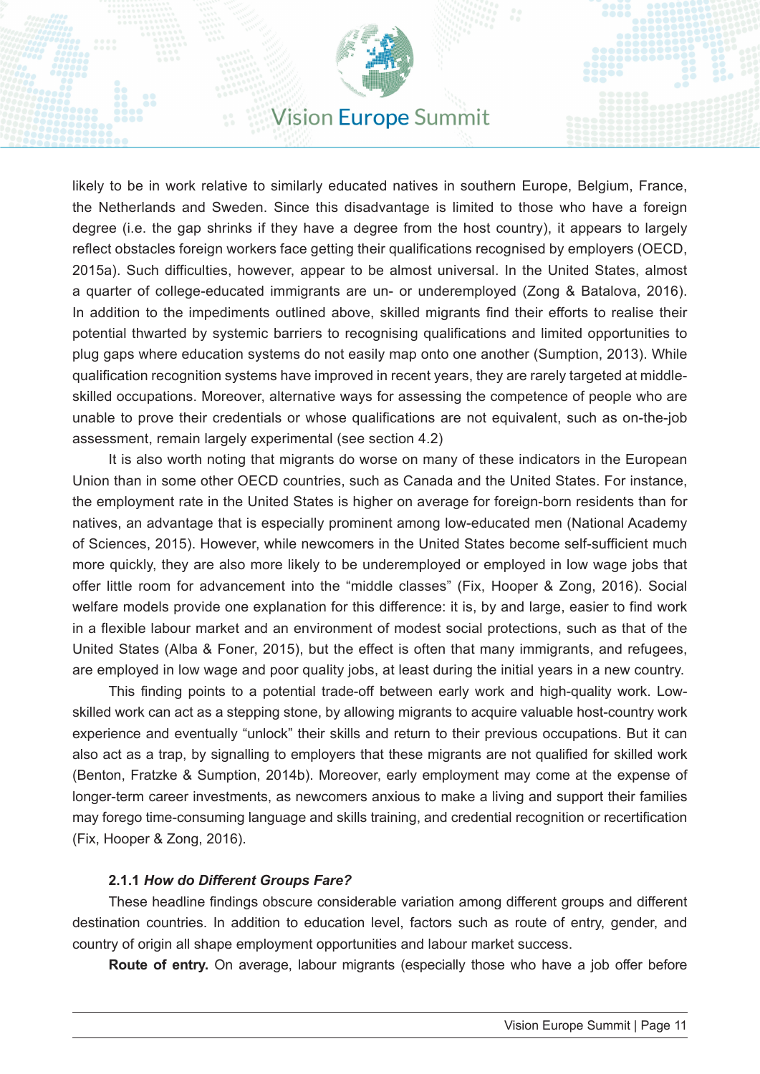

likely to be in work relative to similarly educated natives in southern Europe, Belgium, France, the Netherlands and Sweden. Since this disadvantage is limited to those who have a foreign degree (i.e. the gap shrinks if they have a degree from the host country), it appears to largely reflect obstacles foreign workers face getting their qualifications recognised by employers (OECD, 2015a). Such difficulties, however, appear to be almost universal. In the United States, almost a quarter of college-educated immigrants are un- or underemployed (Zong & Batalova, 2016). In addition to the impediments outlined above, skilled migrants find their efforts to realise their potential thwarted by systemic barriers to recognising qualifications and limited opportunities to plug gaps where education systems do not easily map onto one another (Sumption, 2013). While qualification recognition systems have improved in recent years, they are rarely targeted at middleskilled occupations. Moreover, alternative ways for assessing the competence of people who are unable to prove their credentials or whose qualifications are not equivalent, such as on-the-job assessment, remain largely experimental (see section 4.2)

It is also worth noting that migrants do worse on many of these indicators in the European Union than in some other OECD countries, such as Canada and the United States. For instance, the employment rate in the United States is higher on average for foreign-born residents than for natives, an advantage that is especially prominent among low-educated men (National Academy of Sciences, 2015). However, while newcomers in the United States become self-sufficient much more quickly, they are also more likely to be underemployed or employed in low wage jobs that offer little room for advancement into the "middle classes" (Fix, Hooper & Zong, 2016). Social welfare models provide one explanation for this difference: it is, by and large, easier to find work in a flexible labour market and an environment of modest social protections, such as that of the United States (Alba & Foner, 2015), but the effect is often that many immigrants, and refugees, are employed in low wage and poor quality jobs, at least during the initial years in a new country.

This finding points to a potential trade-off between early work and high-quality work. Lowskilled work can act as a stepping stone, by allowing migrants to acquire valuable host-country work experience and eventually "unlock" their skills and return to their previous occupations. But it can also act as a trap, by signalling to employers that these migrants are not qualified for skilled work (Benton, Fratzke & Sumption, 2014b). Moreover, early employment may come at the expense of longer-term career investments, as newcomers anxious to make a living and support their families may forego time-consuming language and skills training, and credential recognition or recertification (Fix, Hooper & Zong, 2016).

#### **2.1.1** *How do Different Groups Fare?*

These headline findings obscure considerable variation among different groups and different destination countries. In addition to education level, factors such as route of entry, gender, and country of origin all shape employment opportunities and labour market success.

**Route of entry.** On average, labour migrants (especially those who have a job offer before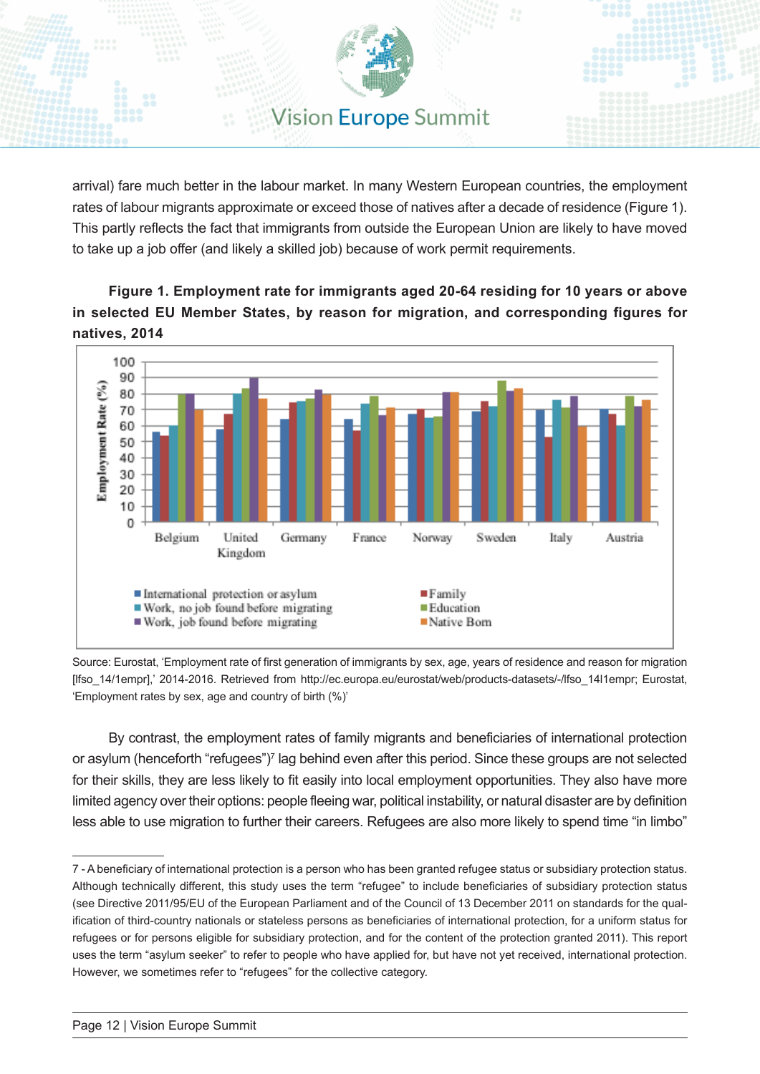arrival) fare much better in the labour market. In many Western European countries, the employment rates of labour migrants approximate or exceed those of natives after a decade of residence (Figure 1). This partly reflects the fact that immigrants from outside the European Union are likely to have moved to take up a job offer (and likely a skilled job) because of work permit requirements.

## **Figure 1. Employment rate for immigrants aged 20-64 residing for 10 years or above in selected EU Member States, by reason for migration, and corresponding figures for natives, 2014**



Source: Eurostat, 'Employment rate of first generation of immigrants by sex, age, years of residence and reason for migration [Ifso 14/1empr],' 2014-2016. Retrieved from http://ec.europa.eu/eurostat/web/products-datasets/-/lfso 14l1empr; Eurostat, 'Employment rates by sex, age and country of birth (%)'

By contrast, the employment rates of family migrants and beneficiaries of international protection or asylum (henceforth "refugees")<sup>7</sup> lag behind even after this period. Since these groups are not selected for their skills, they are less likely to fit easily into local employment opportunities. They also have more limited agency over their options: people fleeing war, political instability, or natural disaster are by definition less able to use migration to further their careers. Refugees are also more likely to spend time "in limbo"

<sup>7 -</sup> A beneficiary of international protection is a person who has been granted refugee status or subsidiary protection status. Although technically different, this study uses the term "refugee" to include beneficiaries of subsidiary protection status (see Directive 2011/95/EU of the European Parliament and of the Council of 13 December 2011 on standards for the qualification of third-country nationals or stateless persons as beneficiaries of international protection, for a uniform status for refugees or for persons eligible for subsidiary protection, and for the content of the protection granted 2011). This report uses the term "asylum seeker" to refer to people who have applied for, but have not yet received, international protection. However, we sometimes refer to "refugees" for the collective category.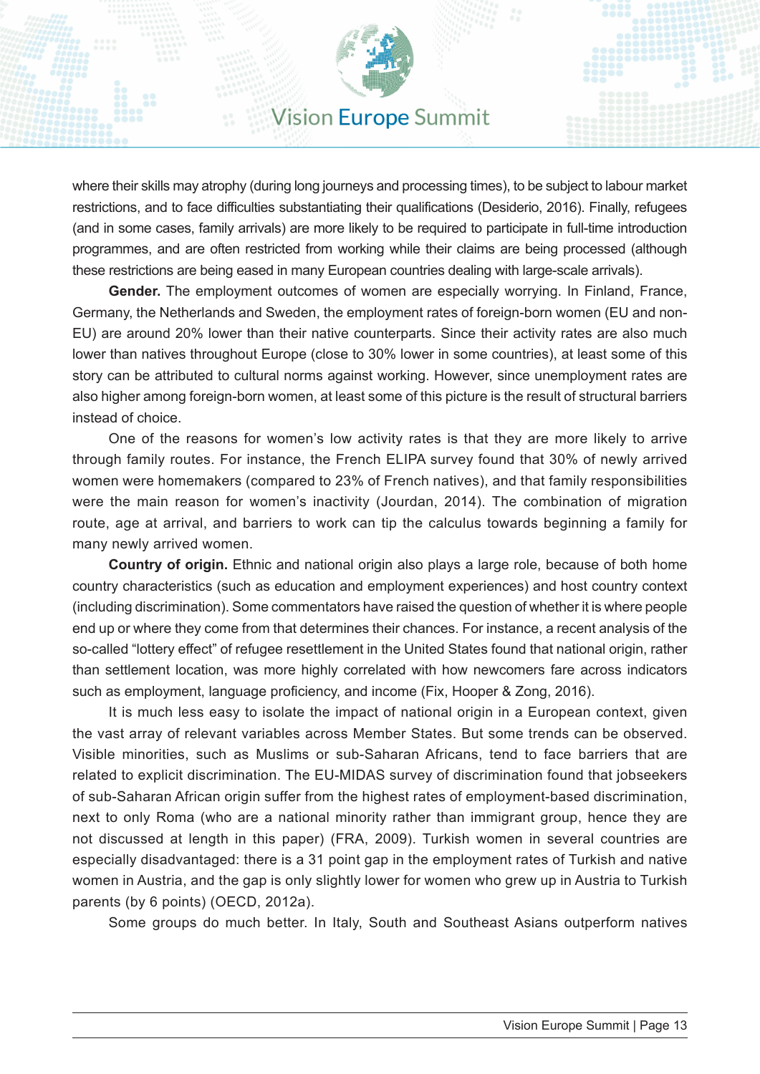

where their skills may atrophy (during long journeys and processing times), to be subject to labour market restrictions, and to face difficulties substantiating their qualifications (Desiderio, 2016). Finally, refugees (and in some cases, family arrivals) are more likely to be required to participate in full-time introduction programmes, and are often restricted from working while their claims are being processed (although these restrictions are being eased in many European countries dealing with large-scale arrivals).

**Gender.** The employment outcomes of women are especially worrying. In Finland, France, Germany, the Netherlands and Sweden, the employment rates of foreign-born women (EU and non-EU) are around 20% lower than their native counterparts. Since their activity rates are also much lower than natives throughout Europe (close to 30% lower in some countries), at least some of this story can be attributed to cultural norms against working. However, since unemployment rates are also higher among foreign-born women, at least some of this picture is the result of structural barriers instead of choice.

One of the reasons for women's low activity rates is that they are more likely to arrive through family routes. For instance, the French ELIPA survey found that 30% of newly arrived women were homemakers (compared to 23% of French natives), and that family responsibilities were the main reason for women's inactivity (Jourdan, 2014). The combination of migration route, age at arrival, and barriers to work can tip the calculus towards beginning a family for many newly arrived women.

**Country of origin.** Ethnic and national origin also plays a large role, because of both home country characteristics (such as education and employment experiences) and host country context (including discrimination). Some commentators have raised the question of whether it is where people end up or where they come from that determines their chances. For instance, a recent analysis of the so-called "lottery effect" of refugee resettlement in the United States found that national origin, rather than settlement location, was more highly correlated with how newcomers fare across indicators such as employment, language proficiency, and income (Fix, Hooper & Zong, 2016).

It is much less easy to isolate the impact of national origin in a European context, given the vast array of relevant variables across Member States. But some trends can be observed. Visible minorities, such as Muslims or sub-Saharan Africans, tend to face barriers that are related to explicit discrimination. The EU-MIDAS survey of discrimination found that jobseekers of sub-Saharan African origin suffer from the highest rates of employment-based discrimination, next to only Roma (who are a national minority rather than immigrant group, hence they are not discussed at length in this paper) (FRA, 2009). Turkish women in several countries are especially disadvantaged: there is a 31 point gap in the employment rates of Turkish and native women in Austria, and the gap is only slightly lower for women who grew up in Austria to Turkish parents (by 6 points) (OECD, 2012a).

Some groups do much better. In Italy, South and Southeast Asians outperform natives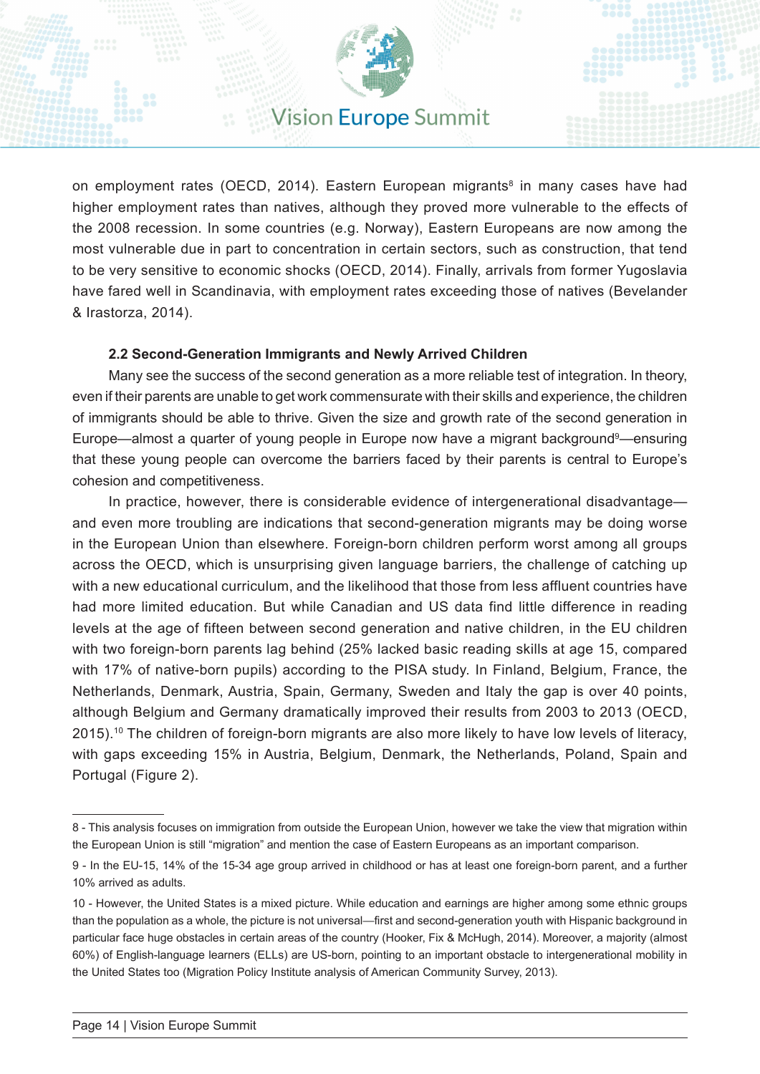

on employment rates (OECD, 2014). Eastern European migrants<sup>8</sup> in many cases have had higher employment rates than natives, although they proved more vulnerable to the effects of the 2008 recession. In some countries (e.g. Norway), Eastern Europeans are now among the most vulnerable due in part to concentration in certain sectors, such as construction, that tend to be very sensitive to economic shocks (OECD, 2014). Finally, arrivals from former Yugoslavia have fared well in Scandinavia, with employment rates exceeding those of natives (Bevelander & Irastorza, 2014).

#### **2.2 Second-Generation Immigrants and Newly Arrived Children**

Many see the success of the second generation as a more reliable test of integration. In theory, even if their parents are unable to get work commensurate with their skills and experience, the children of immigrants should be able to thrive. Given the size and growth rate of the second generation in Europe—almost a quarter of young people in Europe now have a migrant background<sup>9</sup>—ensuring that these young people can overcome the barriers faced by their parents is central to Europe's cohesion and competitiveness.

In practice, however, there is considerable evidence of intergenerational disadvantage and even more troubling are indications that second-generation migrants may be doing worse in the European Union than elsewhere. Foreign-born children perform worst among all groups across the OECD, which is unsurprising given language barriers, the challenge of catching up with a new educational curriculum, and the likelihood that those from less affluent countries have had more limited education. But while Canadian and US data find little difference in reading levels at the age of fifteen between second generation and native children, in the EU children with two foreign-born parents lag behind (25% lacked basic reading skills at age 15, compared with 17% of native-born pupils) according to the PISA study. In Finland, Belgium, France, the Netherlands, Denmark, Austria, Spain, Germany, Sweden and Italy the gap is over 40 points, although Belgium and Germany dramatically improved their results from 2003 to 2013 (OECD, 2015).10 The children of foreign-born migrants are also more likely to have low levels of literacy, with gaps exceeding 15% in Austria, Belgium, Denmark, the Netherlands, Poland, Spain and Portugal (Figure 2).

<sup>8 -</sup> This analysis focuses on immigration from outside the European Union, however we take the view that migration within the European Union is still "migration" and mention the case of Eastern Europeans as an important comparison.

<sup>9 -</sup> In the EU-15, 14% of the 15-34 age group arrived in childhood or has at least one foreign-born parent, and a further 10% arrived as adults.

<sup>10 -</sup> However, the United States is a mixed picture. While education and earnings are higher among some ethnic groups than the population as a whole, the picture is not universal—first and second-generation youth with Hispanic background in particular face huge obstacles in certain areas of the country (Hooker, Fix & McHugh, 2014). Moreover, a majority (almost 60%) of English-language learners (ELLs) are US-born, pointing to an important obstacle to intergenerational mobility in the United States too (Migration Policy Institute analysis of American Community Survey, 2013).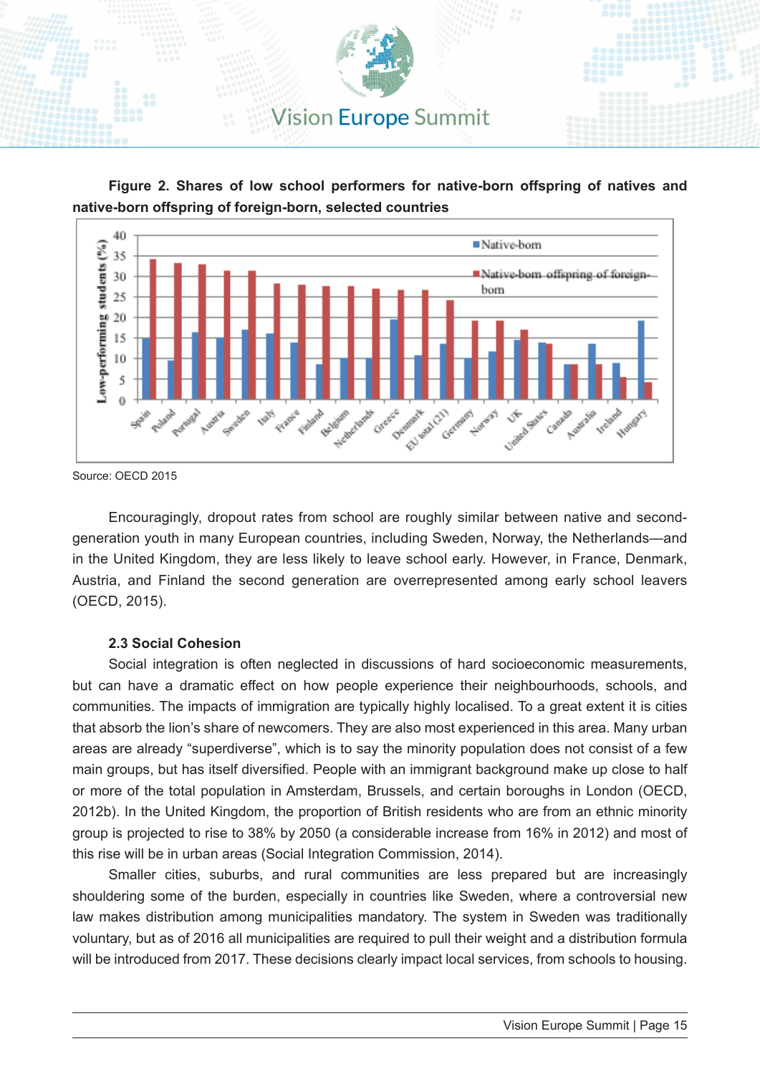





Source: OECD 2015

Encouragingly, dropout rates from school are roughly similar between native and secondgeneration youth in many European countries, including Sweden, Norway, the Netherlands—and in the United Kingdom, they are less likely to leave school early. However, in France, Denmark, Austria, and Finland the second generation are overrepresented among early school leavers (OECD, 2015).

#### **2.3 Social Cohesion**

Social integration is often neglected in discussions of hard socioeconomic measurements, but can have a dramatic effect on how people experience their neighbourhoods, schools, and communities. The impacts of immigration are typically highly localised. To a great extent it is cities that absorb the lion's share of newcomers. They are also most experienced in this area. Many urban areas are already "superdiverse", which is to say the minority population does not consist of a few main groups, but has itself diversified. People with an immigrant background make up close to half or more of the total population in Amsterdam, Brussels, and certain boroughs in London (OECD, 2012b). In the United Kingdom, the proportion of British residents who are from an ethnic minority group is projected to rise to 38% by 2050 (a considerable increase from 16% in 2012) and most of this rise will be in urban areas (Social Integration Commission, 2014).

Smaller cities, suburbs, and rural communities are less prepared but are increasingly shouldering some of the burden, especially in countries like Sweden, where a controversial new law makes distribution among municipalities mandatory. The system in Sweden was traditionally voluntary, but as of 2016 all municipalities are required to pull their weight and a distribution formula will be introduced from 2017. These decisions clearly impact local services, from schools to housing.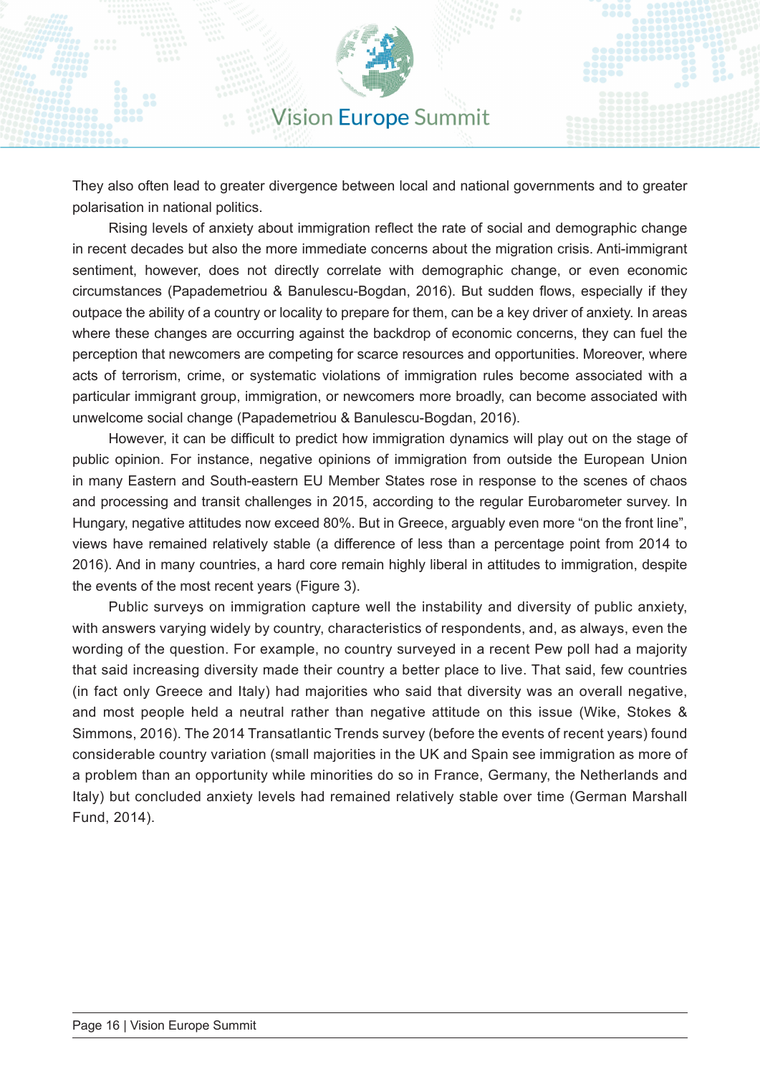

They also often lead to greater divergence between local and national governments and to greater polarisation in national politics.

Rising levels of anxiety about immigration reflect the rate of social and demographic change in recent decades but also the more immediate concerns about the migration crisis. Anti-immigrant sentiment, however, does not directly correlate with demographic change, or even economic circumstances (Papademetriou & Banulescu-Bogdan, 2016). But sudden flows, especially if they outpace the ability of a country or locality to prepare for them, can be a key driver of anxiety. In areas where these changes are occurring against the backdrop of economic concerns, they can fuel the perception that newcomers are competing for scarce resources and opportunities. Moreover, where acts of terrorism, crime, or systematic violations of immigration rules become associated with a particular immigrant group, immigration, or newcomers more broadly, can become associated with unwelcome social change (Papademetriou & Banulescu-Bogdan, 2016).

However, it can be difficult to predict how immigration dynamics will play out on the stage of public opinion. For instance, negative opinions of immigration from outside the European Union in many Eastern and South-eastern EU Member States rose in response to the scenes of chaos and processing and transit challenges in 2015, according to the regular Eurobarometer survey. In Hungary, negative attitudes now exceed 80%. But in Greece, arguably even more "on the front line", views have remained relatively stable (a difference of less than a percentage point from 2014 to 2016). And in many countries, a hard core remain highly liberal in attitudes to immigration, despite the events of the most recent years (Figure 3).

Public surveys on immigration capture well the instability and diversity of public anxiety, with answers varying widely by country, characteristics of respondents, and, as always, even the wording of the question. For example, no country surveyed in a recent Pew poll had a majority that said increasing diversity made their country a better place to live. That said, few countries (in fact only Greece and Italy) had majorities who said that diversity was an overall negative, and most people held a neutral rather than negative attitude on this issue (Wike, Stokes & Simmons, 2016). The 2014 Transatlantic Trends survey (before the events of recent years) found considerable country variation (small majorities in the UK and Spain see immigration as more of a problem than an opportunity while minorities do so in France, Germany, the Netherlands and Italy) but concluded anxiety levels had remained relatively stable over time (German Marshall Fund, 2014).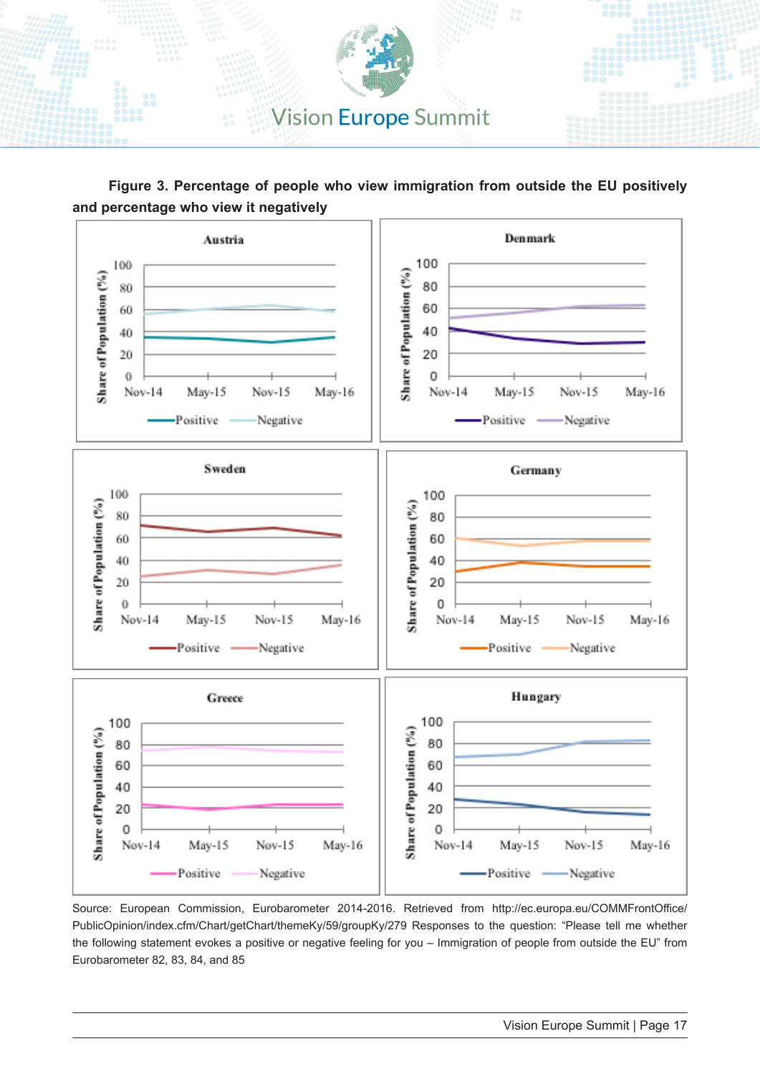





Source: European Commission, Eurobarometer 2014-2016. Retrieved from http://ec.europa.eu/COMMFrontOffice/ PublicOpinion/index.cfm/Chart/getChart/themeKy/59/groupKy/279 Responses to the question: "Please tell me whether the following statement evokes a positive or negative feeling for you – Immigration of people from outside the EU" from Eurobarometer 82, 83, 84, and 85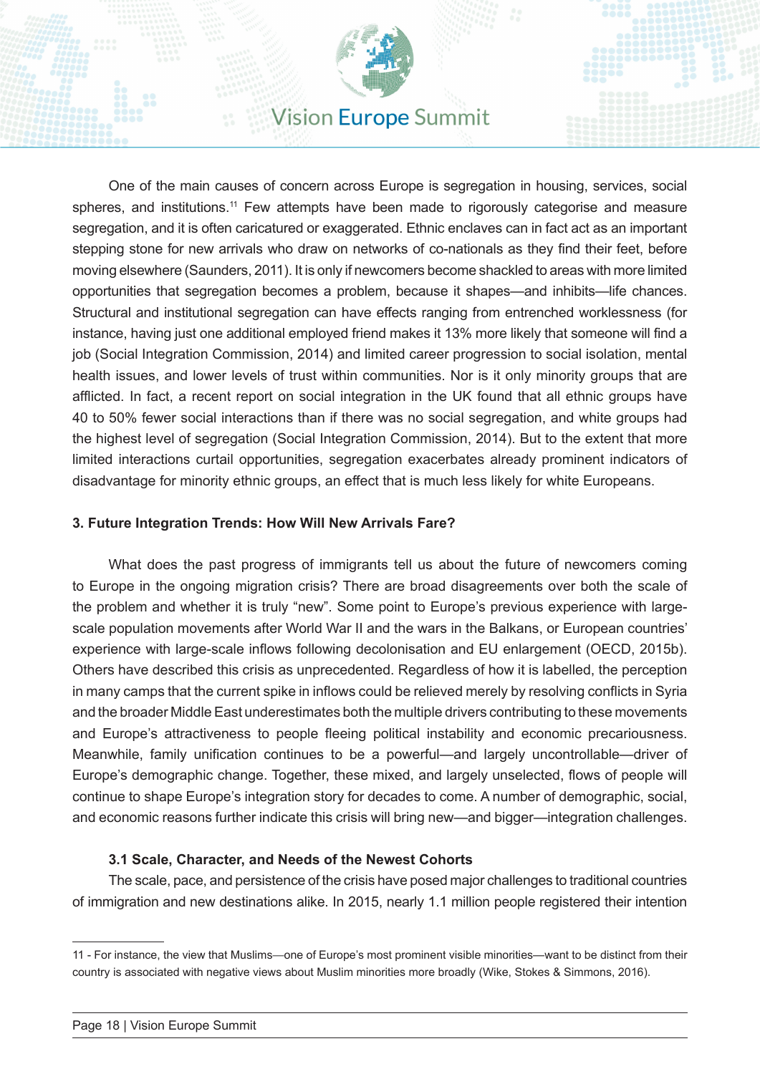

One of the main causes of concern across Europe is segregation in housing, services, social spheres, and institutions.<sup>11</sup> Few attempts have been made to rigorously categorise and measure segregation, and it is often caricatured or exaggerated. Ethnic enclaves can in fact act as an important stepping stone for new arrivals who draw on networks of co-nationals as they find their feet, before moving elsewhere (Saunders, 2011). It is only if newcomers become shackled to areas with more limited opportunities that segregation becomes a problem, because it shapes—and inhibits—life chances. Structural and institutional segregation can have effects ranging from entrenched worklessness (for instance, having just one additional employed friend makes it 13% more likely that someone will find a job (Social Integration Commission, 2014) and limited career progression to social isolation, mental health issues, and lower levels of trust within communities. Nor is it only minority groups that are afflicted. In fact, a recent report on social integration in the UK found that all ethnic groups have 40 to 50% fewer social interactions than if there was no social segregation, and white groups had the highest level of segregation (Social Integration Commission, 2014). But to the extent that more limited interactions curtail opportunities, segregation exacerbates already prominent indicators of disadvantage for minority ethnic groups, an effect that is much less likely for white Europeans.

#### **3. Future Integration Trends: How Will New Arrivals Fare?**

What does the past progress of immigrants tell us about the future of newcomers coming to Europe in the ongoing migration crisis? There are broad disagreements over both the scale of the problem and whether it is truly "new". Some point to Europe's previous experience with largescale population movements after World War II and the wars in the Balkans, or European countries' experience with large-scale inflows following decolonisation and EU enlargement (OECD, 2015b). Others have described this crisis as unprecedented. Regardless of how it is labelled, the perception in many camps that the current spike in inflows could be relieved merely by resolving conflicts in Syria and the broader Middle East underestimates both the multiple drivers contributing to these movements and Europe's attractiveness to people fleeing political instability and economic precariousness. Meanwhile, family unification continues to be a powerful—and largely uncontrollable—driver of Europe's demographic change. Together, these mixed, and largely unselected, flows of people will continue to shape Europe's integration story for decades to come. A number of demographic, social, and economic reasons further indicate this crisis will bring new—and bigger—integration challenges.

### **3.1 Scale, Character, and Needs of the Newest Cohorts**

The scale, pace, and persistence of the crisis have posed major challenges to traditional countries of immigration and new destinations alike. In 2015, nearly 1.1 million people registered their intention

<sup>11 -</sup> For instance, the view that Muslims—one of Europe's most prominent visible minorities—want to be distinct from their country is associated with negative views about Muslim minorities more broadly (Wike, Stokes & Simmons, 2016).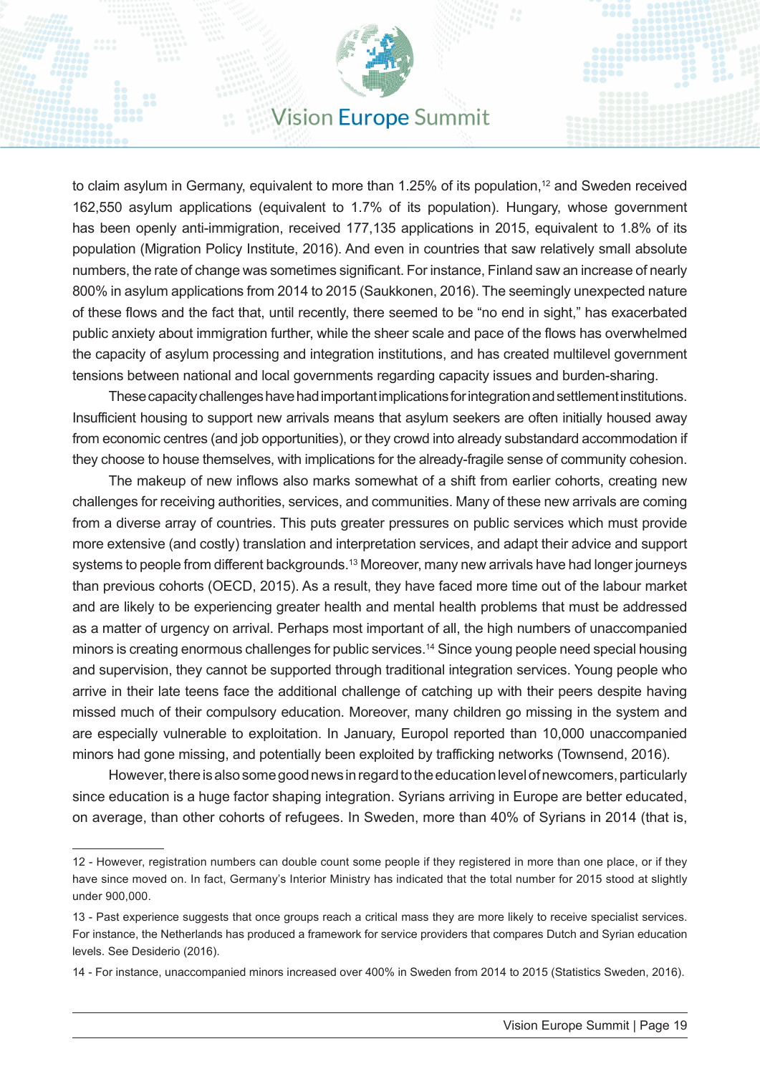

to claim asylum in Germany, equivalent to more than 1.25% of its population,<sup>12</sup> and Sweden received 162,550 asylum applications (equivalent to 1.7% of its population). Hungary, whose government has been openly anti-immigration, received 177,135 applications in 2015, equivalent to 1.8% of its population (Migration Policy Institute, 2016). And even in countries that saw relatively small absolute numbers, the rate of change was sometimes significant. For instance, Finland saw an increase of nearly 800% in asylum applications from 2014 to 2015 (Saukkonen, 2016). The seemingly unexpected nature of these flows and the fact that, until recently, there seemed to be "no end in sight," has exacerbated public anxiety about immigration further, while the sheer scale and pace of the flows has overwhelmed the capacity of asylum processing and integration institutions, and has created multilevel government tensions between national and local governments regarding capacity issues and burden-sharing.

These capacity challenges have had important implications for integration and settlement institutions. Insufficient housing to support new arrivals means that asylum seekers are often initially housed away from economic centres (and job opportunities), or they crowd into already substandard accommodation if they choose to house themselves, with implications for the already-fragile sense of community cohesion.

The makeup of new inflows also marks somewhat of a shift from earlier cohorts, creating new challenges for receiving authorities, services, and communities. Many of these new arrivals are coming from a diverse array of countries. This puts greater pressures on public services which must provide more extensive (and costly) translation and interpretation services, and adapt their advice and support systems to people from different backgrounds.<sup>13</sup> Moreover, many new arrivals have had longer journeys than previous cohorts (OECD, 2015). As a result, they have faced more time out of the labour market and are likely to be experiencing greater health and mental health problems that must be addressed as a matter of urgency on arrival. Perhaps most important of all, the high numbers of unaccompanied minors is creating enormous challenges for public services.<sup>14</sup> Since young people need special housing and supervision, they cannot be supported through traditional integration services. Young people who arrive in their late teens face the additional challenge of catching up with their peers despite having missed much of their compulsory education. Moreover, many children go missing in the system and are especially vulnerable to exploitation. In January, Europol reported than 10,000 unaccompanied minors had gone missing, and potentially been exploited by trafficking networks (Townsend, 2016).

However, there is also some good news in regard to the education level of newcomers, particularly since education is a huge factor shaping integration. Syrians arriving in Europe are better educated, on average, than other cohorts of refugees. In Sweden, more than 40% of Syrians in 2014 (that is,

<sup>12 -</sup> However, registration numbers can double count some people if they registered in more than one place, or if they have since moved on. In fact, Germany's Interior Ministry has indicated that the total number for 2015 stood at slightly under 900,000.

<sup>13 -</sup> Past experience suggests that once groups reach a critical mass they are more likely to receive specialist services. For instance, the Netherlands has produced a framework for service providers that compares Dutch and Syrian education levels. See Desiderio (2016).

<sup>14 -</sup> For instance, unaccompanied minors increased over 400% in Sweden from 2014 to 2015 (Statistics Sweden, 2016).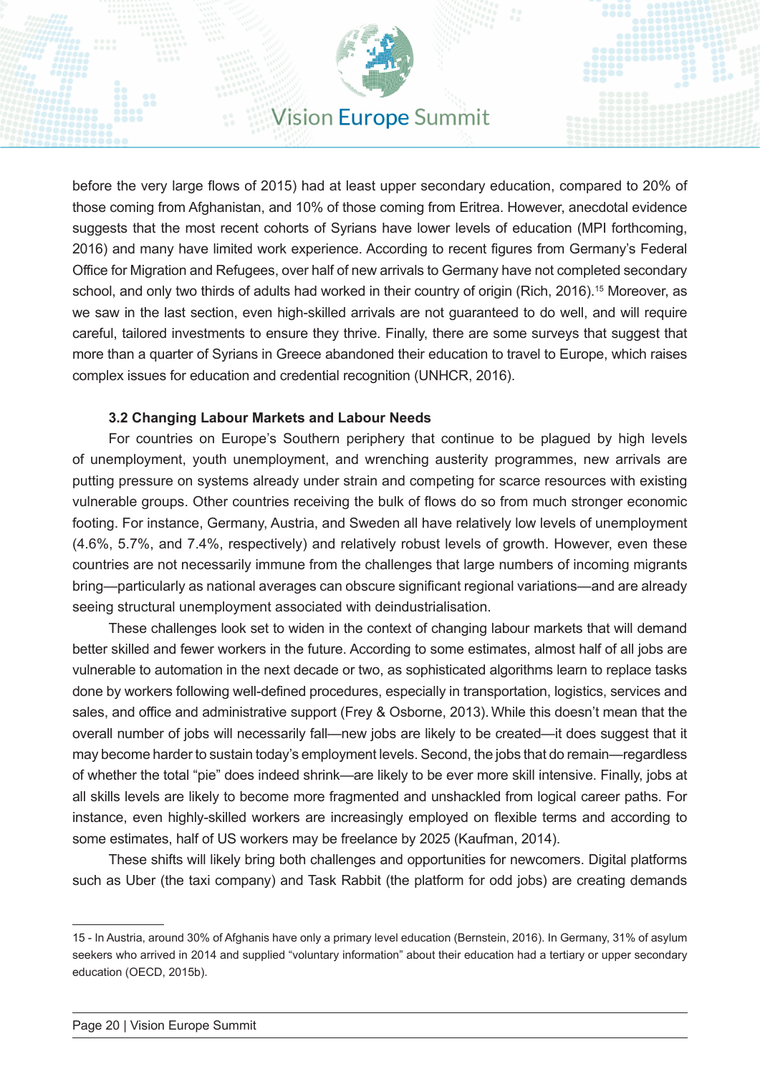

before the very large flows of 2015) had at least upper secondary education, compared to 20% of those coming from Afghanistan, and 10% of those coming from Eritrea. However, anecdotal evidence suggests that the most recent cohorts of Syrians have lower levels of education (MPI forthcoming, 2016) and many have limited work experience. According to recent figures from Germany's Federal Office for Migration and Refugees, over half of new arrivals to Germany have not completed secondary school, and only two thirds of adults had worked in their country of origin (Rich, 2016).<sup>15</sup> Moreover, as we saw in the last section, even high-skilled arrivals are not guaranteed to do well, and will require careful, tailored investments to ensure they thrive. Finally, there are some surveys that suggest that more than a quarter of Syrians in Greece abandoned their education to travel to Europe, which raises complex issues for education and credential recognition (UNHCR, 2016).

#### **3.2 Changing Labour Markets and Labour Needs**

For countries on Europe's Southern periphery that continue to be plagued by high levels of unemployment, youth unemployment, and wrenching austerity programmes, new arrivals are putting pressure on systems already under strain and competing for scarce resources with existing vulnerable groups. Other countries receiving the bulk of flows do so from much stronger economic footing. For instance, Germany, Austria, and Sweden all have relatively low levels of unemployment (4.6%, 5.7%, and 7.4%, respectively) and relatively robust levels of growth. However, even these countries are not necessarily immune from the challenges that large numbers of incoming migrants bring—particularly as national averages can obscure significant regional variations—and are already seeing structural unemployment associated with deindustrialisation.

These challenges look set to widen in the context of changing labour markets that will demand better skilled and fewer workers in the future. According to some estimates, almost half of all jobs are vulnerable to automation in the next decade or two, as sophisticated algorithms learn to replace tasks done by workers following well-defined procedures, especially in transportation, logistics, services and sales, and office and administrative support (Frey & Osborne, 2013). While this doesn't mean that the overall number of jobs will necessarily fall—new jobs are likely to be created—it does suggest that it may become harder to sustain today's employment levels. Second, the jobs that do remain—regardless of whether the total "pie" does indeed shrink—are likely to be ever more skill intensive. Finally, jobs at all skills levels are likely to become more fragmented and unshackled from logical career paths. For instance, even highly-skilled workers are increasingly employed on flexible terms and according to some estimates, half of US workers may be freelance by 2025 (Kaufman, 2014).

These shifts will likely bring both challenges and opportunities for newcomers. Digital platforms such as Uber (the taxi company) and Task Rabbit (the platform for odd jobs) are creating demands

<sup>15 -</sup> In Austria, around 30% of Afghanis have only a primary level education (Bernstein, 2016). In Germany, 31% of asylum seekers who arrived in 2014 and supplied "voluntary information" about their education had a tertiary or upper secondary education (OECD, 2015b).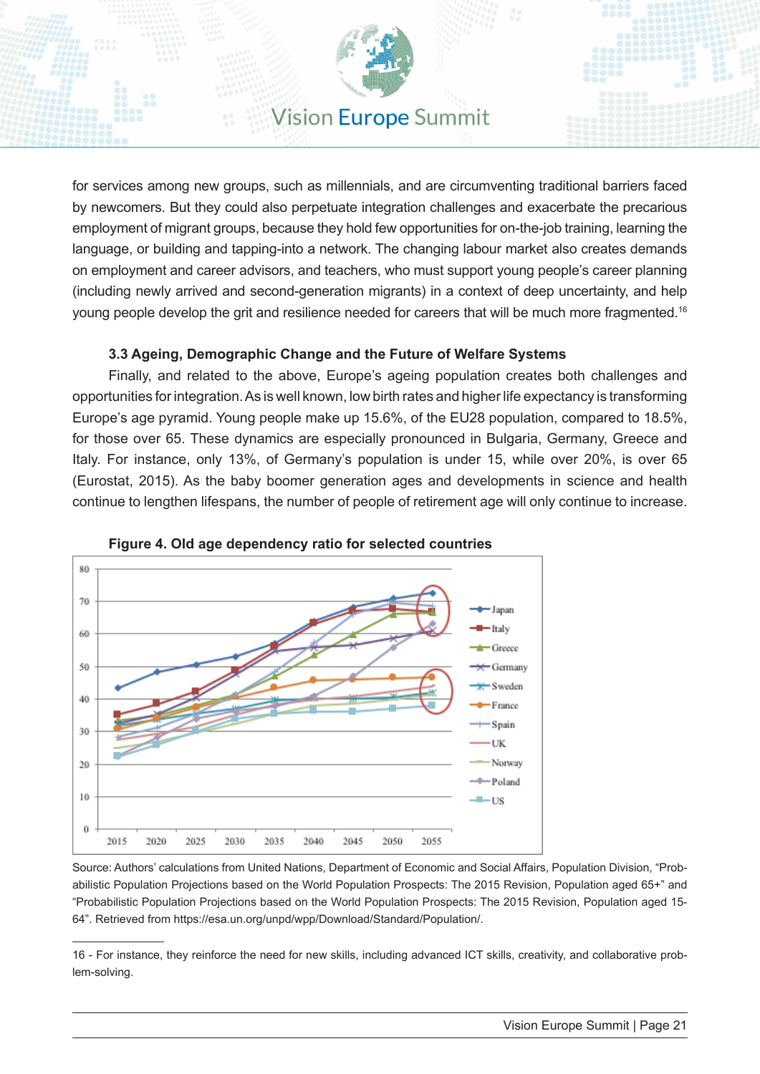for services among new groups, such as millennials, and are circumventing traditional barriers faced by newcomers. But they could also perpetuate integration challenges and exacerbate the precarious employment of migrant groups, because they hold few opportunities for on-the-job training, learning the language, or building and tapping-into a network. The changing labour market also creates demands on employment and career advisors, and teachers, who must support young people's career planning (including newly arrived and second-generation migrants) in a context of deep uncertainty, and help young people develop the grit and resilience needed for careers that will be much more fragmented.<sup>16</sup>

### **3.3 Ageing, Demographic Change and the Future of Welfare Systems**

Finally, and related to the above, Europe's ageing population creates both challenges and opportunities for integration. As is well known, low birth rates and higher life expectancy is transforming Europe's age pyramid. Young people make up 15.6%, of the EU28 population, compared to 18.5%, for those over 65. These dynamics are especially pronounced in Bulgaria, Germany, Greece and Italy. For instance, only 13%, of Germany's population is under 15, while over 20%, is over 65 (Eurostat, 2015). As the baby boomer generation ages and developments in science and health continue to lengthen lifespans, the number of people of retirement age will only continue to increase.





Source: Authors' calculations from United Nations, Department of Economic and Social Affairs, Population Division, "Probabilistic Population Projections based on the World Population Prospects: The 2015 Revision, Population aged 65+" and "Probabilistic Population Projections based on the World Population Prospects: The 2015 Revision, Population aged 15- 64". Retrieved from https://esa.un.org/unpd/wpp/Download/Standard/Population/.

<sup>16 -</sup> For instance, they reinforce the need for new skills, including advanced ICT skills, creativity, and collaborative problem-solving.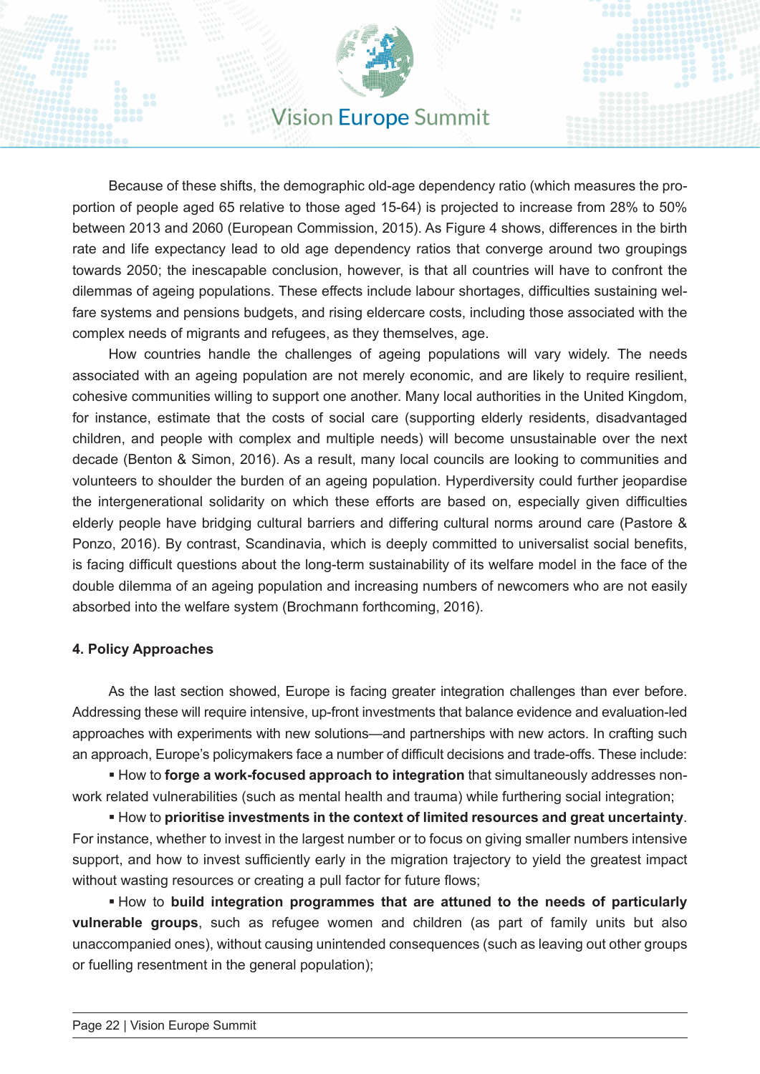

Because of these shifts, the demographic old-age dependency ratio (which measures the proportion of people aged 65 relative to those aged 15-64) is projected to increase from 28% to 50% between 2013 and 2060 (European Commission, 2015). As Figure 4 shows, differences in the birth rate and life expectancy lead to old age dependency ratios that converge around two groupings towards 2050; the inescapable conclusion, however, is that all countries will have to confront the dilemmas of ageing populations. These effects include labour shortages, difficulties sustaining welfare systems and pensions budgets, and rising eldercare costs, including those associated with the complex needs of migrants and refugees, as they themselves, age.

How countries handle the challenges of ageing populations will vary widely. The needs associated with an ageing population are not merely economic, and are likely to require resilient, cohesive communities willing to support one another. Many local authorities in the United Kingdom, for instance, estimate that the costs of social care (supporting elderly residents, disadvantaged children, and people with complex and multiple needs) will become unsustainable over the next decade (Benton & Simon, 2016). As a result, many local councils are looking to communities and volunteers to shoulder the burden of an ageing population. Hyperdiversity could further jeopardise the intergenerational solidarity on which these efforts are based on, especially given difficulties elderly people have bridging cultural barriers and differing cultural norms around care (Pastore & Ponzo, 2016). By contrast, Scandinavia, which is deeply committed to universalist social benefits, is facing difficult questions about the long-term sustainability of its welfare model in the face of the double dilemma of an ageing population and increasing numbers of newcomers who are not easily absorbed into the welfare system (Brochmann forthcoming, 2016).

#### **4. Policy Approaches**

As the last section showed, Europe is facing greater integration challenges than ever before. Addressing these will require intensive, up-front investments that balance evidence and evaluation-led approaches with experiments with new solutions—and partnerships with new actors. In crafting such an approach, Europe's policymakers face a number of difficult decisions and trade-offs. These include:

**• How to forge a work-focused approach to integration** that simultaneously addresses nonwork related vulnerabilities (such as mental health and trauma) while furthering social integration;

**• How to prioritise investments in the context of limited resources and great uncertainty.** For instance, whether to invest in the largest number or to focus on giving smaller numbers intensive support, and how to invest sufficiently early in the migration trajectory to yield the greatest impact without wasting resources or creating a pull factor for future flows;

**EXECT HOW to build integration programmes that are attuned to the needs of particularly vulnerable groups**, such as refugee women and children (as part of family units but also unaccompanied ones), without causing unintended consequences (such as leaving out other groups or fuelling resentment in the general population);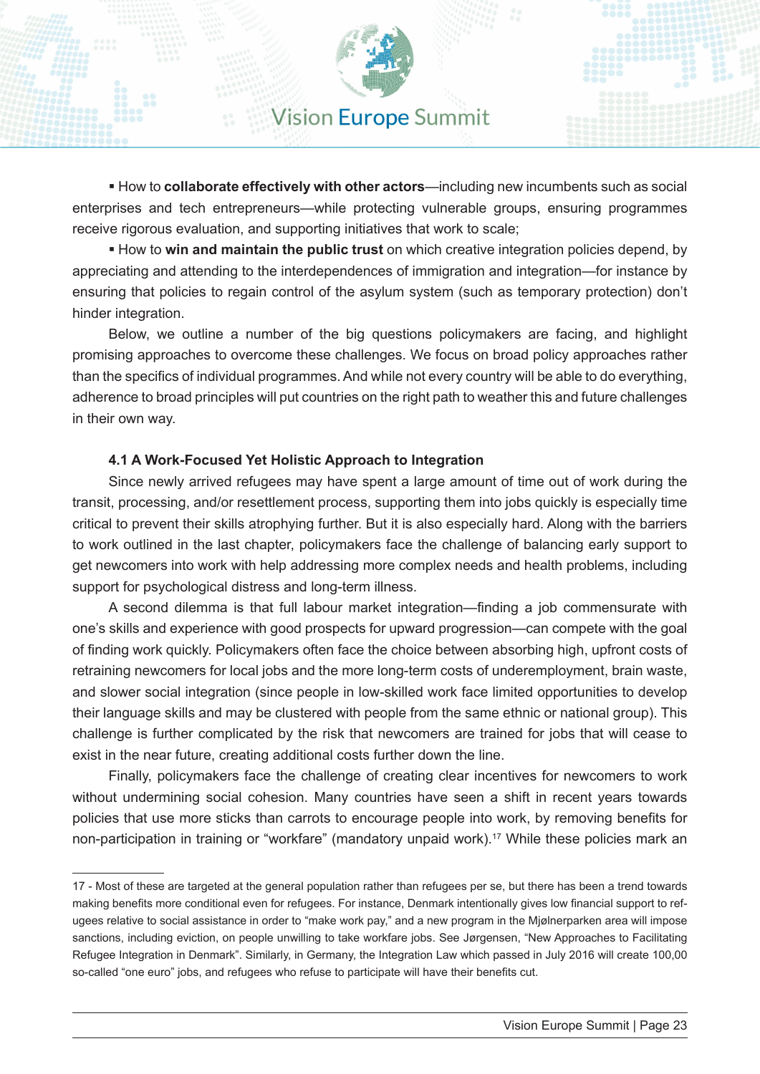

**• How to collaborate effectively with other actors**—including new incumbents such as social enterprises and tech entrepreneurs—while protecting vulnerable groups, ensuring programmes receive rigorous evaluation, and supporting initiatives that work to scale;

**Example 1 How to win and maintain the public trust** on which creative integration policies depend, by appreciating and attending to the interdependences of immigration and integration—for instance by ensuring that policies to regain control of the asylum system (such as temporary protection) don't hinder integration.

Below, we outline a number of the big questions policymakers are facing, and highlight promising approaches to overcome these challenges. We focus on broad policy approaches rather than the specifics of individual programmes. And while not every country will be able to do everything, adherence to broad principles will put countries on the right path to weather this and future challenges in their own way.

#### **4.1 A Work-Focused Yet Holistic Approach to Integration**

Since newly arrived refugees may have spent a large amount of time out of work during the transit, processing, and/or resettlement process, supporting them into jobs quickly is especially time critical to prevent their skills atrophying further. But it is also especially hard. Along with the barriers to work outlined in the last chapter, policymakers face the challenge of balancing early support to get newcomers into work with help addressing more complex needs and health problems, including support for psychological distress and long-term illness.

A second dilemma is that full labour market integration—finding a job commensurate with one's skills and experience with good prospects for upward progression—can compete with the goal of finding work quickly. Policymakers often face the choice between absorbing high, upfront costs of retraining newcomers for local jobs and the more long-term costs of underemployment, brain waste, and slower social integration (since people in low-skilled work face limited opportunities to develop their language skills and may be clustered with people from the same ethnic or national group). This challenge is further complicated by the risk that newcomers are trained for jobs that will cease to exist in the near future, creating additional costs further down the line.

Finally, policymakers face the challenge of creating clear incentives for newcomers to work without undermining social cohesion. Many countries have seen a shift in recent years towards policies that use more sticks than carrots to encourage people into work, by removing benefits for non-participation in training or "workfare" (mandatory unpaid work).17 While these policies mark an

<sup>17 -</sup> Most of these are targeted at the general population rather than refugees per se, but there has been a trend towards making benefits more conditional even for refugees. For instance, Denmark intentionally gives low financial support to refugees relative to social assistance in order to "make work pay," and a new program in the Mjølnerparken area will impose sanctions, including eviction, on people unwilling to take workfare jobs. See Jørgensen, "New Approaches to Facilitating Refugee Integration in Denmark". Similarly, in Germany, the Integration Law which passed in July 2016 will create 100,00 so-called "one euro" jobs, and refugees who refuse to participate will have their benefits cut.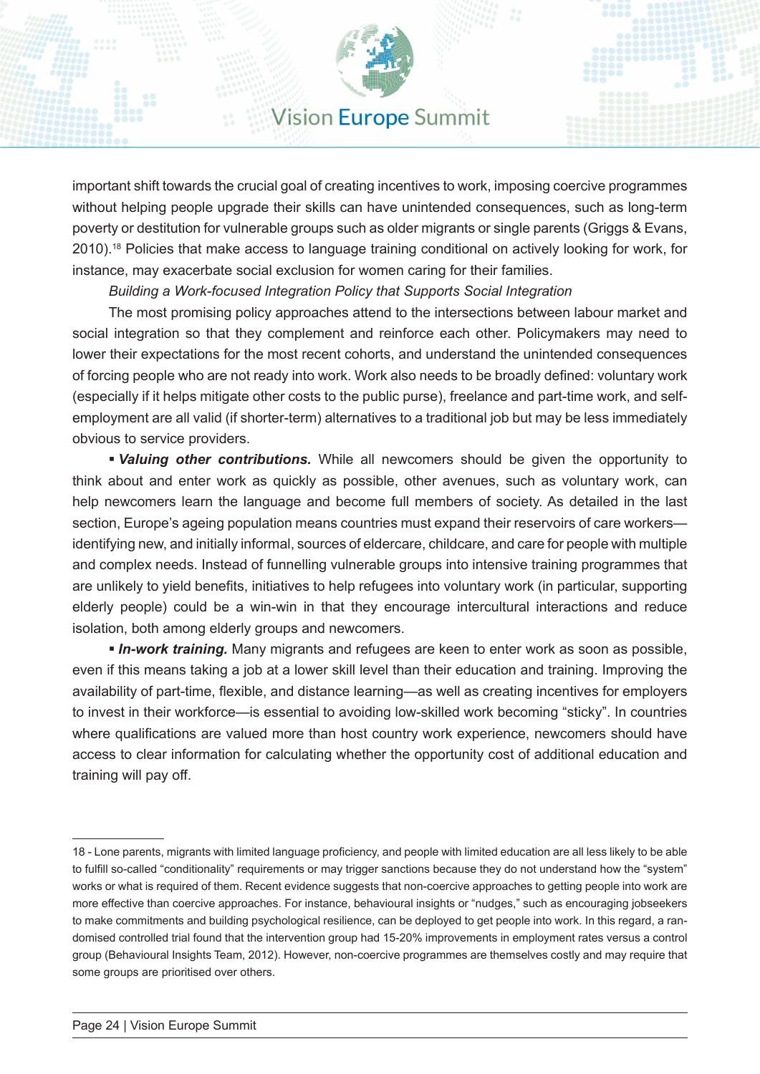

important shift towards the crucial goal of creating incentives to work, imposing coercive programmes without helping people upgrade their skills can have unintended consequences, such as long-term poverty or destitution for vulnerable groups such as older migrants or single parents (Griggs & Evans, 2010).18 Policies that make access to language training conditional on actively looking for work, for instance, may exacerbate social exclusion for women caring for their families.

*Building a Work-focused Integration Policy that Supports Social Integration*

The most promising policy approaches attend to the intersections between labour market and social integration so that they complement and reinforce each other. Policymakers may need to lower their expectations for the most recent cohorts, and understand the unintended consequences of forcing people who are not ready into work. Work also needs to be broadly defined: voluntary work (especially if it helps mitigate other costs to the public purse), freelance and part-time work, and selfemployment are all valid (if shorter-term) alternatives to a traditional job but may be less immediately obvious to service providers.

• Valuing other contributions. While all newcomers should be given the opportunity to think about and enter work as quickly as possible, other avenues, such as voluntary work, can help newcomers learn the language and become full members of society. As detailed in the last section, Europe's ageing population means countries must expand their reservoirs of care workers identifying new, and initially informal, sources of eldercare, childcare, and care for people with multiple and complex needs. Instead of funnelling vulnerable groups into intensive training programmes that are unlikely to yield benefits, initiatives to help refugees into voluntary work (in particular, supporting elderly people) could be a win-win in that they encourage intercultural interactions and reduce isolation, both among elderly groups and newcomers.

**• In-work training.** Many migrants and refugees are keen to enter work as soon as possible, even if this means taking a job at a lower skill level than their education and training. Improving the availability of part-time, flexible, and distance learning—as well as creating incentives for employers to invest in their workforce—is essential to avoiding low-skilled work becoming "sticky". In countries where qualifications are valued more than host country work experience, newcomers should have access to clear information for calculating whether the opportunity cost of additional education and training will pay off.

<sup>18 -</sup> Lone parents, migrants with limited language proficiency, and people with limited education are all less likely to be able to fulfill so-called "conditionality" requirements or may trigger sanctions because they do not understand how the "system" works or what is required of them. Recent evidence suggests that non-coercive approaches to getting people into work are more effective than coercive approaches. For instance, behavioural insights or "nudges," such as encouraging jobseekers to make commitments and building psychological resilience, can be deployed to get people into work. In this regard, a randomised controlled trial found that the intervention group had 15-20% improvements in employment rates versus a control group (Behavioural Insights Team, 2012). However, non-coercive programmes are themselves costly and may require that some groups are prioritised over others.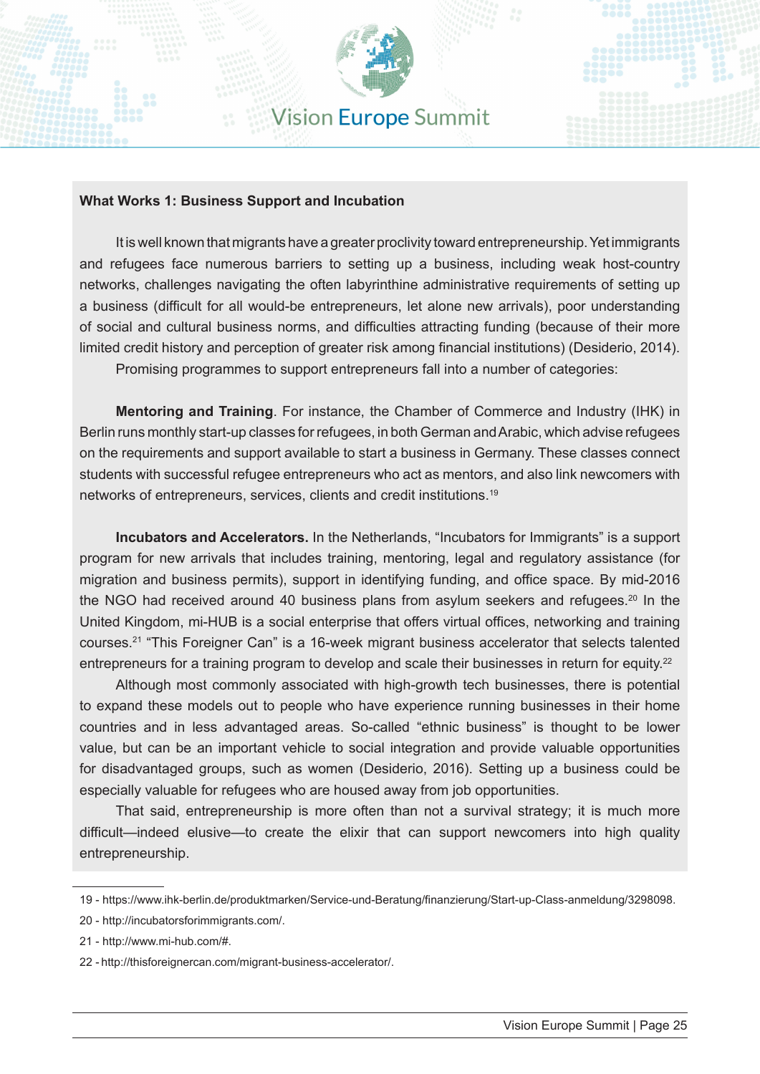

#### **What Works 1: Business Support and Incubation**

It is well known that migrants have a greater proclivity toward entrepreneurship. Yet immigrants and refugees face numerous barriers to setting up a business, including weak host-country networks, challenges navigating the often labyrinthine administrative requirements of setting up a business (difficult for all would-be entrepreneurs, let alone new arrivals), poor understanding of social and cultural business norms, and difficulties attracting funding (because of their more limited credit history and perception of greater risk among financial institutions) (Desiderio, 2014). Promising programmes to support entrepreneurs fall into a number of categories:

**Mentoring and Training**. For instance, the Chamber of Commerce and Industry (IHK) in Berlin runs monthly start-up classes for refugees, in both German and Arabic, which advise refugees on the requirements and support available to start a business in Germany. These classes connect students with successful refugee entrepreneurs who act as mentors, and also link newcomers with networks of entrepreneurs, services, clients and credit institutions.19

**Incubators and Accelerators.** In the Netherlands, "Incubators for Immigrants" is a support program for new arrivals that includes training, mentoring, legal and regulatory assistance (for migration and business permits), support in identifying funding, and office space. By mid-2016 the NGO had received around 40 business plans from asylum seekers and refugees.<sup>20</sup> In the United Kingdom, mi-HUB is a social enterprise that offers virtual offices, networking and training courses.21 "This Foreigner Can" is a 16-week migrant business accelerator that selects talented entrepreneurs for a training program to develop and scale their businesses in return for equity.<sup>22</sup>

Although most commonly associated with high-growth tech businesses, there is potential to expand these models out to people who have experience running businesses in their home countries and in less advantaged areas. So-called "ethnic business" is thought to be lower value, but can be an important vehicle to social integration and provide valuable opportunities for disadvantaged groups, such as women (Desiderio, 2016). Setting up a business could be especially valuable for refugees who are housed away from job opportunities.

That said, entrepreneurship is more often than not a survival strategy; it is much more difficult—indeed elusive—to create the elixir that can support newcomers into high quality entrepreneurship.

<sup>19 -</sup> https://www.ihk-berlin.de/produktmarken/Service-und-Beratung/finanzierung/Start-up-Class-anmeldung/3298098.

<sup>20 -</sup> http://incubatorsforimmigrants.com/.

<sup>21 -</sup> http://www.mi-hub.com/#.

<sup>22 -</sup> http://thisforeignercan.com/migrant-business-accelerator/.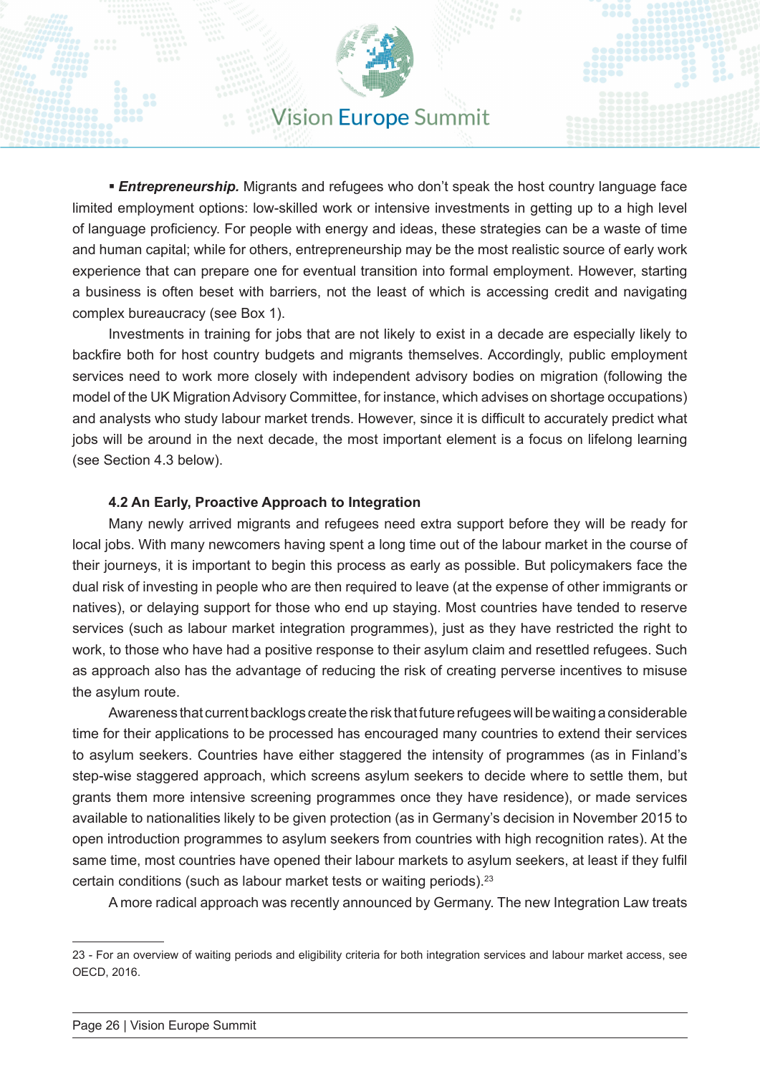

**Entrepreneurship.** Migrants and refugees who don't speak the host country language face limited employment options: low-skilled work or intensive investments in getting up to a high level of language proficiency. For people with energy and ideas, these strategies can be a waste of time and human capital; while for others, entrepreneurship may be the most realistic source of early work experience that can prepare one for eventual transition into formal employment. However, starting a business is often beset with barriers, not the least of which is accessing credit and navigating complex bureaucracy (see Box 1).

Investments in training for jobs that are not likely to exist in a decade are especially likely to backfire both for host country budgets and migrants themselves. Accordingly, public employment services need to work more closely with independent advisory bodies on migration (following the model of the UK Migration Advisory Committee, for instance, which advises on shortage occupations) and analysts who study labour market trends. However, since it is difficult to accurately predict what jobs will be around in the next decade, the most important element is a focus on lifelong learning (see Section 4.3 below).

#### **4.2 An Early, Proactive Approach to Integration**

Many newly arrived migrants and refugees need extra support before they will be ready for local jobs. With many newcomers having spent a long time out of the labour market in the course of their journeys, it is important to begin this process as early as possible. But policymakers face the dual risk of investing in people who are then required to leave (at the expense of other immigrants or natives), or delaying support for those who end up staying. Most countries have tended to reserve services (such as labour market integration programmes), just as they have restricted the right to work, to those who have had a positive response to their asylum claim and resettled refugees. Such as approach also has the advantage of reducing the risk of creating perverse incentives to misuse the asylum route.

Awareness that current backlogs create the risk that future refugees will be waiting a considerable time for their applications to be processed has encouraged many countries to extend their services to asylum seekers. Countries have either staggered the intensity of programmes (as in Finland's step-wise staggered approach, which screens asylum seekers to decide where to settle them, but grants them more intensive screening programmes once they have residence), or made services available to nationalities likely to be given protection (as in Germany's decision in November 2015 to open introduction programmes to asylum seekers from countries with high recognition rates). At the same time, most countries have opened their labour markets to asylum seekers, at least if they fulfil certain conditions (such as labour market tests or waiting periods).23

A more radical approach was recently announced by Germany. The new Integration Law treats

<sup>23 -</sup> For an overview of waiting periods and eligibility criteria for both integration services and labour market access, see OECD, 2016.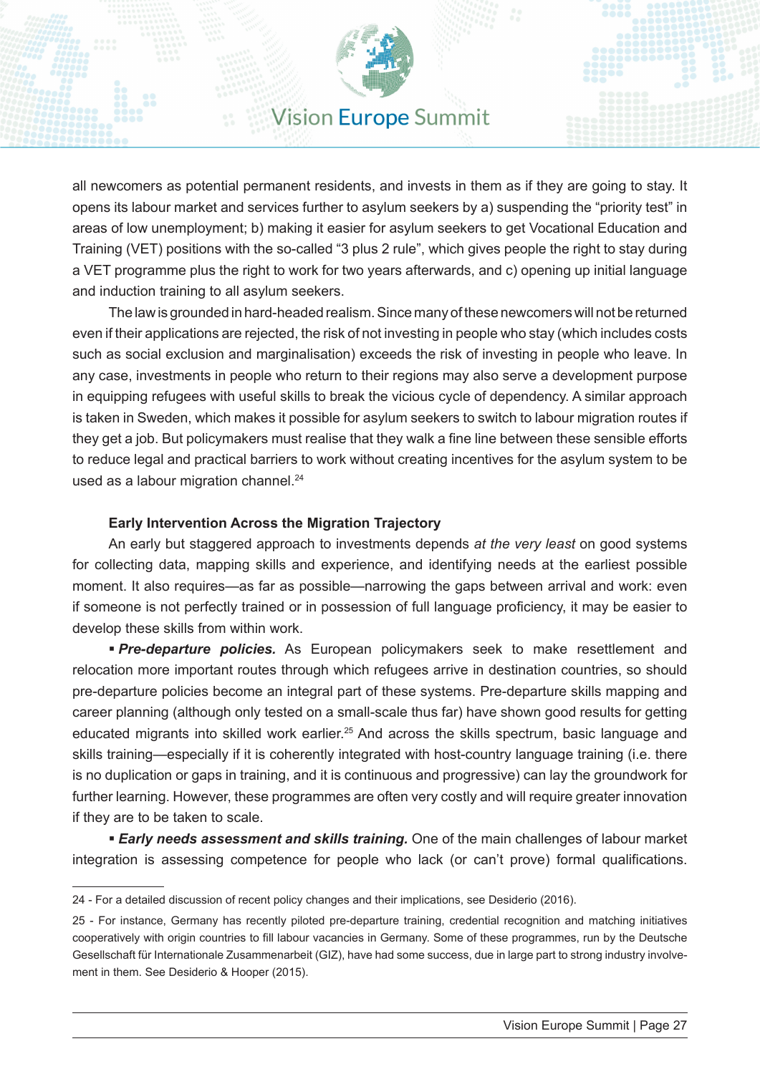

all newcomers as potential permanent residents, and invests in them as if they are going to stay. It opens its labour market and services further to asylum seekers by a) suspending the "priority test" in areas of low unemployment; b) making it easier for asylum seekers to get Vocational Education and Training (VET) positions with the so-called "3 plus 2 rule", which gives people the right to stay during a VET programme plus the right to work for two years afterwards, and c) opening up initial language and induction training to all asylum seekers.

The law is grounded in hard-headed realism. Since many of these newcomers will not be returned even if their applications are rejected, the risk of not investing in people who stay (which includes costs such as social exclusion and marginalisation) exceeds the risk of investing in people who leave. In any case, investments in people who return to their regions may also serve a development purpose in equipping refugees with useful skills to break the vicious cycle of dependency. A similar approach is taken in Sweden, which makes it possible for asylum seekers to switch to labour migration routes if they get a job. But policymakers must realise that they walk a fine line between these sensible efforts to reduce legal and practical barriers to work without creating incentives for the asylum system to be used as a labour migration channel.<sup>24</sup>

### **Early Intervention Across the Migration Trajectory**

An early but staggered approach to investments depends *at the very least* on good systems for collecting data, mapping skills and experience, and identifying needs at the earliest possible moment. It also requires—as far as possible—narrowing the gaps between arrival and work: even if someone is not perfectly trained or in possession of full language proficiency, it may be easier to develop these skills from within work.

**Pre-departure policies.** As European policymakers seek to make resettlement and relocation more important routes through which refugees arrive in destination countries, so should pre-departure policies become an integral part of these systems. Pre-departure skills mapping and career planning (although only tested on a small-scale thus far) have shown good results for getting educated migrants into skilled work earlier.<sup>25</sup> And across the skills spectrum, basic language and skills training—especially if it is coherently integrated with host-country language training (i.e. there is no duplication or gaps in training, and it is continuous and progressive) can lay the groundwork for further learning. However, these programmes are often very costly and will require greater innovation if they are to be taken to scale.

**Early needs assessment and skills training.** One of the main challenges of labour market integration is assessing competence for people who lack (or can't prove) formal qualifications.

<sup>24 -</sup> For a detailed discussion of recent policy changes and their implications, see Desiderio (2016).

<sup>25 -</sup> For instance, Germany has recently piloted pre-departure training, credential recognition and matching initiatives cooperatively with origin countries to fill labour vacancies in Germany. Some of these programmes, run by the Deutsche Gesellschaft für Internationale Zusammenarbeit (GIZ), have had some success, due in large part to strong industry involvement in them. See Desiderio & Hooper (2015).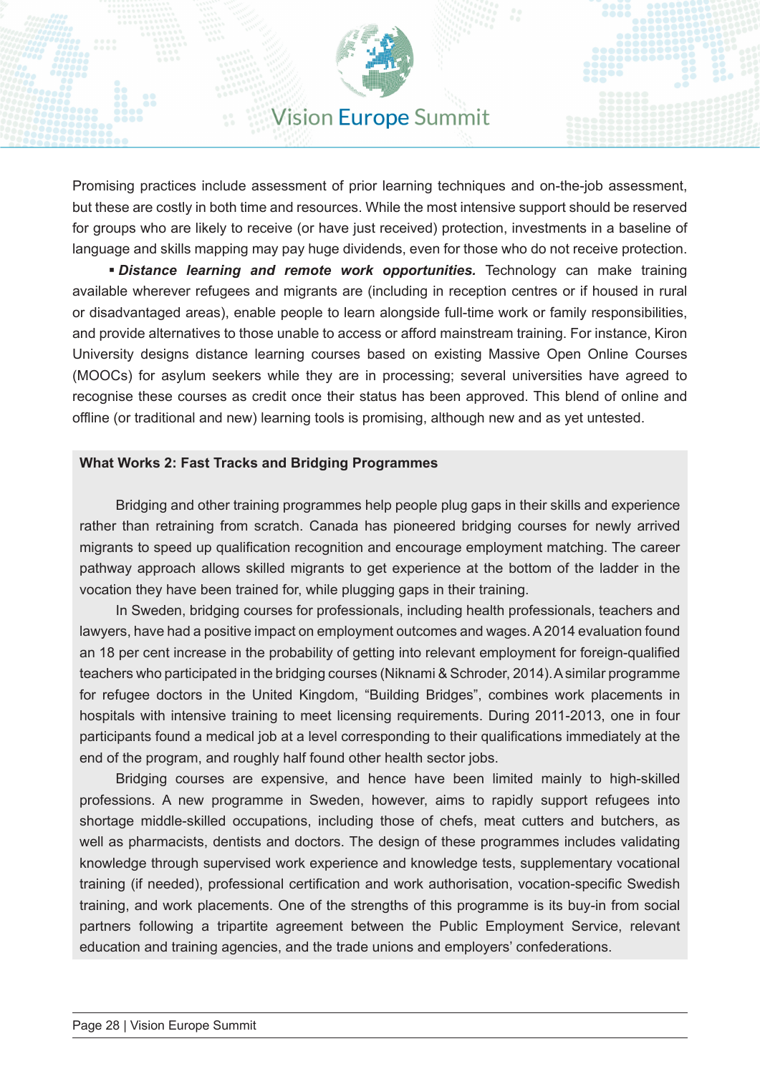

Promising practices include assessment of prior learning techniques and on-the-job assessment, but these are costly in both time and resources. While the most intensive support should be reserved for groups who are likely to receive (or have just received) protection, investments in a baseline of language and skills mapping may pay huge dividends, even for those who do not receive protection.

**· Distance learning and remote work opportunities.** Technology can make training available wherever refugees and migrants are (including in reception centres or if housed in rural or disadvantaged areas), enable people to learn alongside full-time work or family responsibilities, and provide alternatives to those unable to access or afford mainstream training. For instance, Kiron University designs distance learning courses based on existing Massive Open Online Courses (MOOCs) for asylum seekers while they are in processing; several universities have agreed to recognise these courses as credit once their status has been approved. This blend of online and offline (or traditional and new) learning tools is promising, although new and as yet untested.

#### **What Works 2: Fast Tracks and Bridging Programmes**

Bridging and other training programmes help people plug gaps in their skills and experience rather than retraining from scratch. Canada has pioneered bridging courses for newly arrived migrants to speed up qualification recognition and encourage employment matching. The career pathway approach allows skilled migrants to get experience at the bottom of the ladder in the vocation they have been trained for, while plugging gaps in their training.

In Sweden, bridging courses for professionals, including health professionals, teachers and lawyers, have had a positive impact on employment outcomes and wages. A 2014 evaluation found an 18 per cent increase in the probability of getting into relevant employment for foreign-qualified teachers who participated in the bridging courses (Niknami & Schroder, 2014).A similar programme for refugee doctors in the United Kingdom, "Building Bridges", combines work placements in hospitals with intensive training to meet licensing requirements. During 2011-2013, one in four participants found a medical job at a level corresponding to their qualifications immediately at the end of the program, and roughly half found other health sector jobs.

Bridging courses are expensive, and hence have been limited mainly to high-skilled professions. A new programme in Sweden, however, aims to rapidly support refugees into shortage middle-skilled occupations, including those of chefs, meat cutters and butchers, as well as pharmacists, dentists and doctors. The design of these programmes includes validating knowledge through supervised work experience and knowledge tests, supplementary vocational training (if needed), professional certification and work authorisation, vocation-specific Swedish training, and work placements. One of the strengths of this programme is its buy-in from social partners following a tripartite agreement between the Public Employment Service, relevant education and training agencies, and the trade unions and employers' confederations.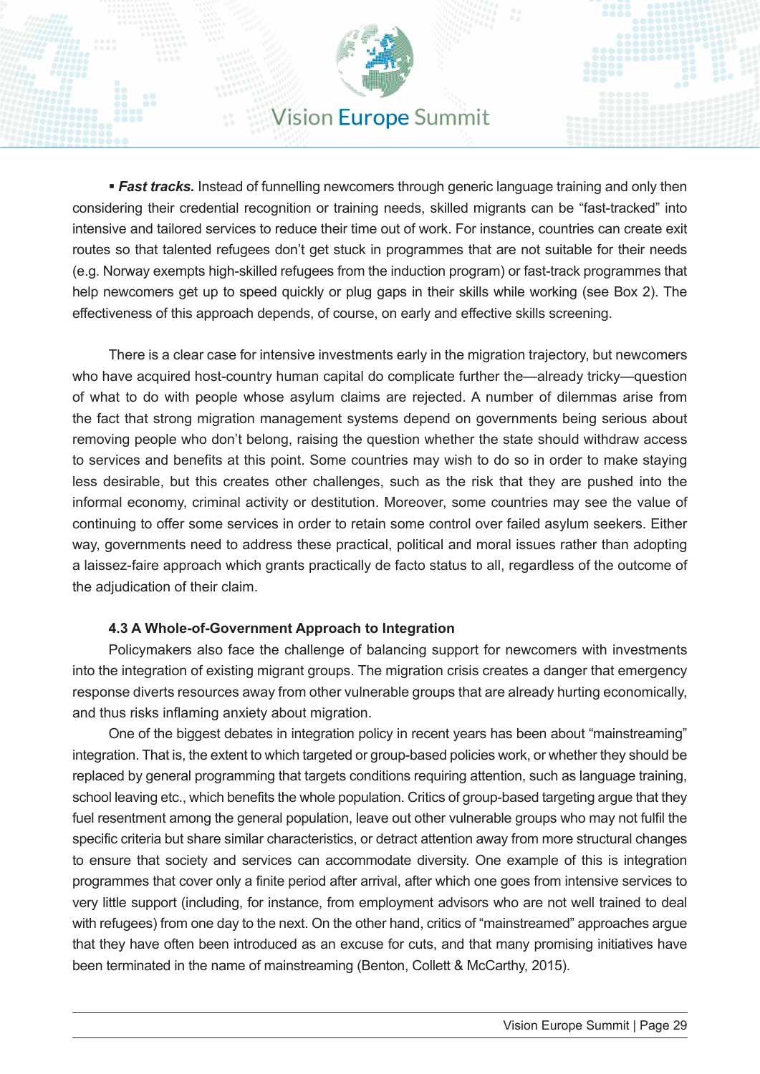

**• Fast tracks.** Instead of funnelling newcomers through generic language training and only then considering their credential recognition or training needs, skilled migrants can be "fast-tracked" into intensive and tailored services to reduce their time out of work. For instance, countries can create exit routes so that talented refugees don't get stuck in programmes that are not suitable for their needs (e.g. Norway exempts high-skilled refugees from the induction program) or fast-track programmes that help newcomers get up to speed quickly or plug gaps in their skills while working (see Box 2). The effectiveness of this approach depends, of course, on early and effective skills screening.

There is a clear case for intensive investments early in the migration trajectory, but newcomers who have acquired host-country human capital do complicate further the—already tricky—question of what to do with people whose asylum claims are rejected. A number of dilemmas arise from the fact that strong migration management systems depend on governments being serious about removing people who don't belong, raising the question whether the state should withdraw access to services and benefits at this point. Some countries may wish to do so in order to make staying less desirable, but this creates other challenges, such as the risk that they are pushed into the informal economy, criminal activity or destitution. Moreover, some countries may see the value of continuing to offer some services in order to retain some control over failed asylum seekers. Either way, governments need to address these practical, political and moral issues rather than adopting a laissez-faire approach which grants practically de facto status to all, regardless of the outcome of the adjudication of their claim.

#### **4.3 A Whole-of-Government Approach to Integration**

Policymakers also face the challenge of balancing support for newcomers with investments into the integration of existing migrant groups. The migration crisis creates a danger that emergency response diverts resources away from other vulnerable groups that are already hurting economically, and thus risks inflaming anxiety about migration.

One of the biggest debates in integration policy in recent years has been about "mainstreaming" integration. That is, the extent to which targeted or group-based policies work, or whether they should be replaced by general programming that targets conditions requiring attention, such as language training, school leaving etc., which benefits the whole population. Critics of group-based targeting argue that they fuel resentment among the general population, leave out other vulnerable groups who may not fulfil the specific criteria but share similar characteristics, or detract attention away from more structural changes to ensure that society and services can accommodate diversity. One example of this is integration programmes that cover only a finite period after arrival, after which one goes from intensive services to very little support (including, for instance, from employment advisors who are not well trained to deal with refugees) from one day to the next. On the other hand, critics of "mainstreamed" approaches argue that they have often been introduced as an excuse for cuts, and that many promising initiatives have been terminated in the name of mainstreaming (Benton, Collett & McCarthy, 2015).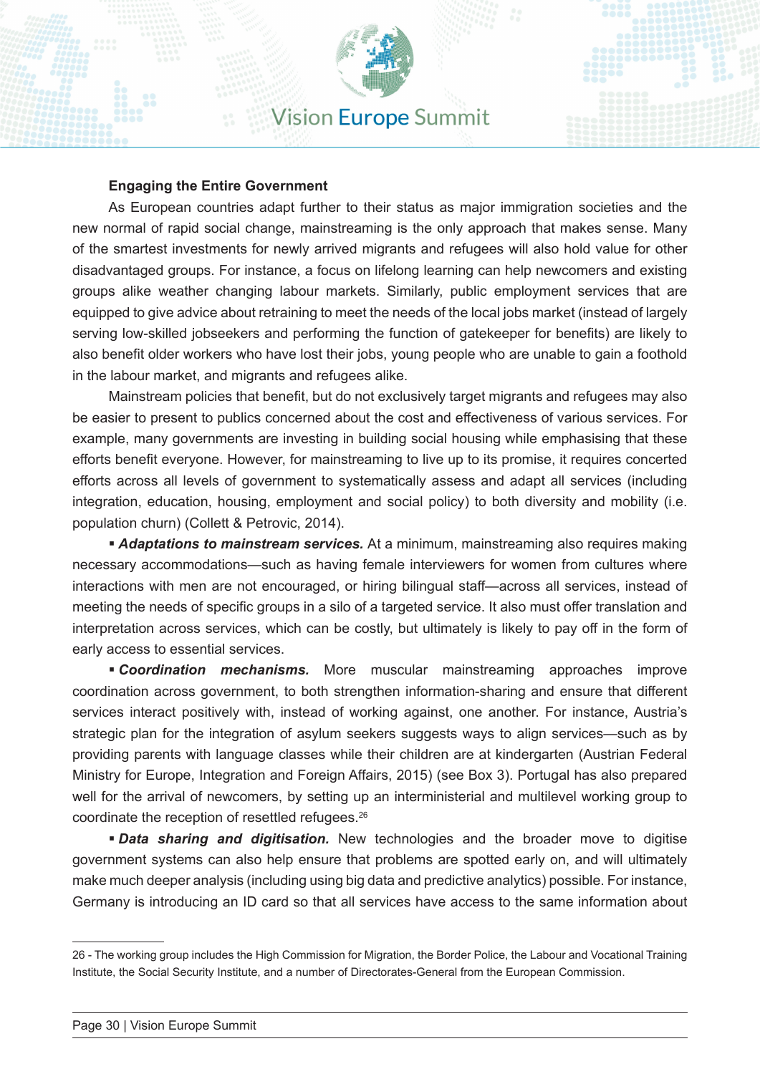

#### **Engaging the Entire Government**

As European countries adapt further to their status as major immigration societies and the new normal of rapid social change, mainstreaming is the only approach that makes sense. Many of the smartest investments for newly arrived migrants and refugees will also hold value for other disadvantaged groups. For instance, a focus on lifelong learning can help newcomers and existing groups alike weather changing labour markets. Similarly, public employment services that are equipped to give advice about retraining to meet the needs of the local jobs market (instead of largely serving low-skilled jobseekers and performing the function of gatekeeper for benefits) are likely to also benefit older workers who have lost their jobs, young people who are unable to gain a foothold in the labour market, and migrants and refugees alike.

Mainstream policies that benefit, but do not exclusively target migrants and refugees may also be easier to present to publics concerned about the cost and effectiveness of various services. For example, many governments are investing in building social housing while emphasising that these efforts benefit everyone. However, for mainstreaming to live up to its promise, it requires concerted efforts across all levels of government to systematically assess and adapt all services (including integration, education, housing, employment and social policy) to both diversity and mobility (i.e. population churn) (Collett & Petrovic, 2014).

**• Adaptations to mainstream services.** At a minimum, mainstreaming also requires making necessary accommodations—such as having female interviewers for women from cultures where interactions with men are not encouraged, or hiring bilingual staff—across all services, instead of meeting the needs of specific groups in a silo of a targeted service. It also must offer translation and interpretation across services, which can be costly, but ultimately is likely to pay off in the form of early access to essential services.

**• Coordination mechanisms.** More muscular mainstreaming approaches improve coordination across government, to both strengthen information-sharing and ensure that different services interact positively with, instead of working against, one another. For instance, Austria's strategic plan for the integration of asylum seekers suggests ways to align services—such as by providing parents with language classes while their children are at kindergarten (Austrian Federal Ministry for Europe, Integration and Foreign Affairs, 2015) (see Box 3). Portugal has also prepared well for the arrival of newcomers, by setting up an interministerial and multilevel working group to coordinate the reception of resettled refugees.26

**• Data sharing and digitisation.** New technologies and the broader move to digitise government systems can also help ensure that problems are spotted early on, and will ultimately make much deeper analysis (including using big data and predictive analytics) possible. For instance, Germany is introducing an ID card so that all services have access to the same information about

<sup>26 -</sup> The working group includes the High Commission for Migration, the Border Police, the Labour and Vocational Training Institute, the Social Security Institute, and a number of Directorates-General from the European Commission.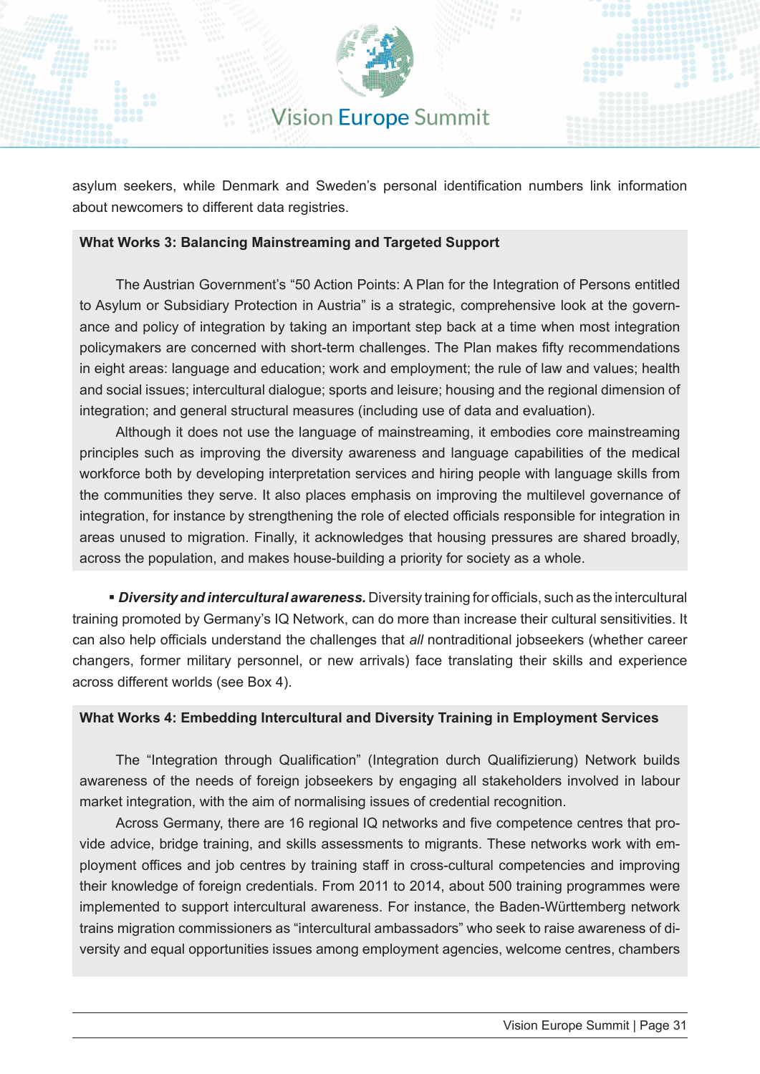

asylum seekers, while Denmark and Sweden's personal identification numbers link information about newcomers to different data registries.

#### **What Works 3: Balancing Mainstreaming and Targeted Support**

The Austrian Government's "50 Action Points: A Plan for the Integration of Persons entitled to Asylum or Subsidiary Protection in Austria" is a strategic, comprehensive look at the governance and policy of integration by taking an important step back at a time when most integration policymakers are concerned with short-term challenges. The Plan makes fifty recommendations in eight areas: language and education; work and employment; the rule of law and values; health and social issues; intercultural dialogue; sports and leisure; housing and the regional dimension of integration; and general structural measures (including use of data and evaluation).

Although it does not use the language of mainstreaming, it embodies core mainstreaming principles such as improving the diversity awareness and language capabilities of the medical workforce both by developing interpretation services and hiring people with language skills from the communities they serve. It also places emphasis on improving the multilevel governance of integration, for instance by strengthening the role of elected officials responsible for integration in areas unused to migration. Finally, it acknowledges that housing pressures are shared broadly, across the population, and makes house-building a priority for society as a whole.

**• Diversity and intercultural awareness.** Diversity training for officials, such as the intercultural training promoted by Germany's IQ Network, can do more than increase their cultural sensitivities. It can also help officials understand the challenges that *all* nontraditional jobseekers (whether career changers, former military personnel, or new arrivals) face translating their skills and experience across different worlds (see Box 4).

### **What Works 4: Embedding Intercultural and Diversity Training in Employment Services**

The "Integration through Qualification" (Integration durch Qualifizierung) Network builds awareness of the needs of foreign jobseekers by engaging all stakeholders involved in labour market integration, with the aim of normalising issues of credential recognition.

Across Germany, there are 16 regional IQ networks and five competence centres that provide advice, bridge training, and skills assessments to migrants. These networks work with employment offices and job centres by training staff in cross-cultural competencies and improving their knowledge of foreign credentials. From 2011 to 2014, about 500 training programmes were implemented to support intercultural awareness. For instance, the Baden-Württemberg network trains migration commissioners as "intercultural ambassadors" who seek to raise awareness of diversity and equal opportunities issues among employment agencies, welcome centres, chambers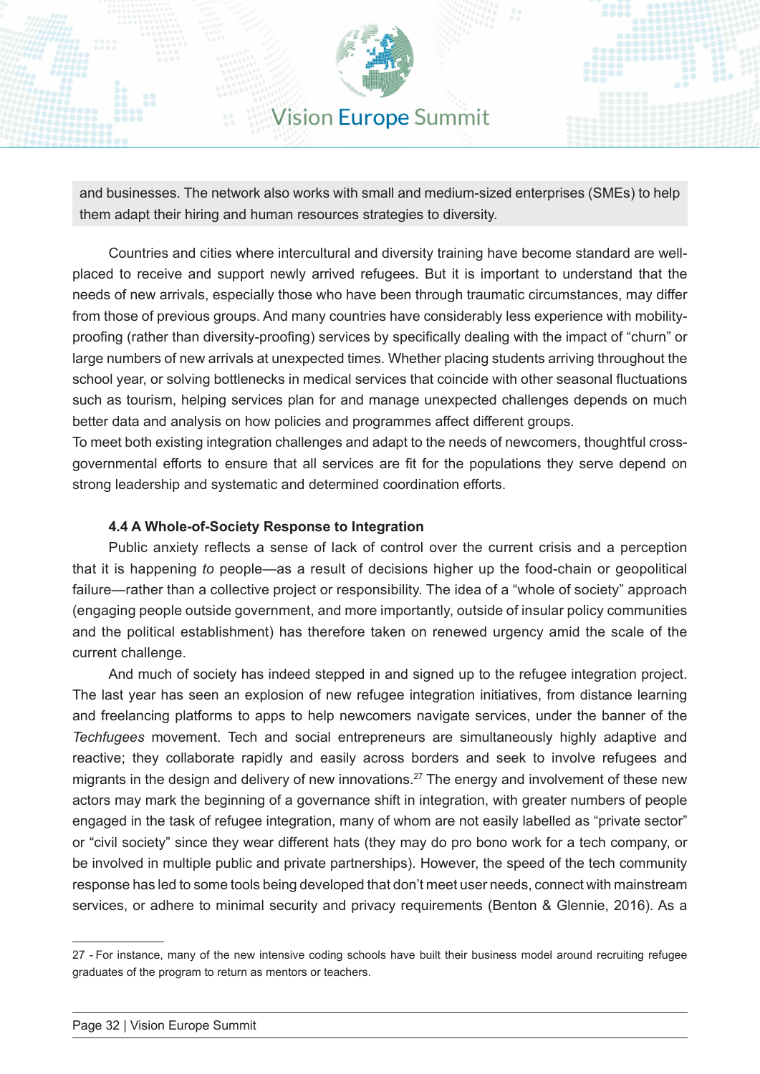

and businesses. The network also works with small and medium-sized enterprises (SMEs) to help them adapt their hiring and human resources strategies to diversity.

Countries and cities where intercultural and diversity training have become standard are wellplaced to receive and support newly arrived refugees. But it is important to understand that the needs of new arrivals, especially those who have been through traumatic circumstances, may differ from those of previous groups. And many countries have considerably less experience with mobilityproofing (rather than diversity-proofing) services by specifically dealing with the impact of "churn" or large numbers of new arrivals at unexpected times. Whether placing students arriving throughout the school year, or solving bottlenecks in medical services that coincide with other seasonal fluctuations such as tourism, helping services plan for and manage unexpected challenges depends on much better data and analysis on how policies and programmes affect different groups.

To meet both existing integration challenges and adapt to the needs of newcomers, thoughtful crossgovernmental efforts to ensure that all services are fit for the populations they serve depend on strong leadership and systematic and determined coordination efforts.

#### **4.4 A Whole-of-Society Response to Integration**

Public anxiety reflects a sense of lack of control over the current crisis and a perception that it is happening *to* people—as a result of decisions higher up the food-chain or geopolitical failure—rather than a collective project or responsibility. The idea of a "whole of society" approach (engaging people outside government, and more importantly, outside of insular policy communities and the political establishment) has therefore taken on renewed urgency amid the scale of the current challenge.

And much of society has indeed stepped in and signed up to the refugee integration project. The last year has seen an explosion of new refugee integration initiatives, from distance learning and freelancing platforms to apps to help newcomers navigate services, under the banner of the *Techfugees* movement. Tech and social entrepreneurs are simultaneously highly adaptive and reactive; they collaborate rapidly and easily across borders and seek to involve refugees and migrants in the design and delivery of new innovations.<sup>27</sup> The energy and involvement of these new actors may mark the beginning of a governance shift in integration, with greater numbers of people engaged in the task of refugee integration, many of whom are not easily labelled as "private sector" or "civil society" since they wear different hats (they may do pro bono work for a tech company, or be involved in multiple public and private partnerships). However, the speed of the tech community response has led to some tools being developed that don't meet user needs, connect with mainstream services, or adhere to minimal security and privacy requirements (Benton & Glennie, 2016). As a

<sup>27 -</sup> For instance, many of the new intensive coding schools have built their business model around recruiting refugee graduates of the program to return as mentors or teachers.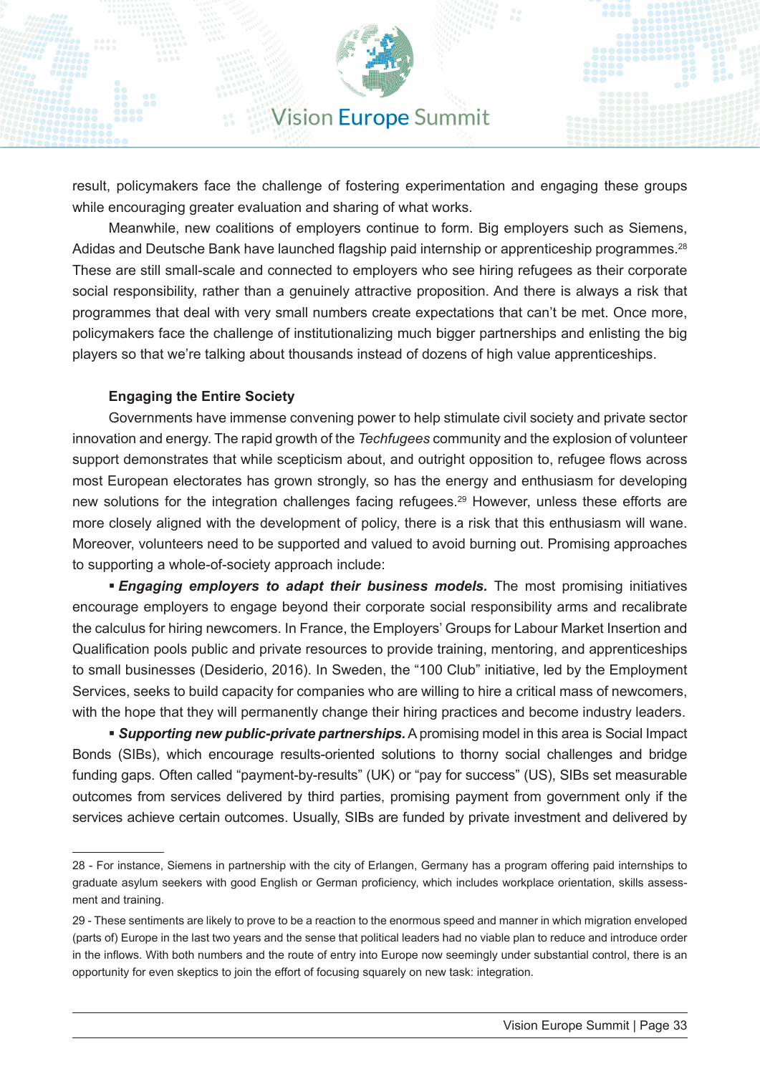

result, policymakers face the challenge of fostering experimentation and engaging these groups while encouraging greater evaluation and sharing of what works.

Meanwhile, new coalitions of employers continue to form. Big employers such as Siemens, Adidas and Deutsche Bank have launched flagship paid internship or apprenticeship programmes.<sup>28</sup> These are still small-scale and connected to employers who see hiring refugees as their corporate social responsibility, rather than a genuinely attractive proposition. And there is always a risk that programmes that deal with very small numbers create expectations that can't be met. Once more, policymakers face the challenge of institutionalizing much bigger partnerships and enlisting the big players so that we're talking about thousands instead of dozens of high value apprenticeships.

#### **Engaging the Entire Society**

Governments have immense convening power to help stimulate civil society and private sector innovation and energy. The rapid growth of the *Techfugees* community and the explosion of volunteer support demonstrates that while scepticism about, and outright opposition to, refugee flows across most European electorates has grown strongly, so has the energy and enthusiasm for developing new solutions for the integration challenges facing refugees.<sup>29</sup> However, unless these efforts are more closely aligned with the development of policy, there is a risk that this enthusiasm will wane. Moreover, volunteers need to be supported and valued to avoid burning out. Promising approaches to supporting a whole-of-society approach include:

**Engaging employers to adapt their business models.** The most promising initiatives encourage employers to engage beyond their corporate social responsibility arms and recalibrate the calculus for hiring newcomers. In France, the Employers' Groups for Labour Market Insertion and Qualification pools public and private resources to provide training, mentoring, and apprenticeships to small businesses (Desiderio, 2016). In Sweden, the "100 Club" initiative, led by the Employment Services, seeks to build capacity for companies who are willing to hire a critical mass of newcomers, with the hope that they will permanently change their hiring practices and become industry leaders.

**• Supporting new public-private partnerships.** A promising model in this area is Social Impact Bonds (SIBs), which encourage results-oriented solutions to thorny social challenges and bridge funding gaps. Often called "payment-by-results" (UK) or "pay for success" (US), SIBs set measurable outcomes from services delivered by third parties, promising payment from government only if the services achieve certain outcomes. Usually, SIBs are funded by private investment and delivered by

<sup>28 -</sup> For instance, Siemens in partnership with the city of Erlangen, Germany has a program offering paid internships to graduate asylum seekers with good English or German proficiency, which includes workplace orientation, skills assessment and training.

<sup>29 -</sup> These sentiments are likely to prove to be a reaction to the enormous speed and manner in which migration enveloped (parts of) Europe in the last two years and the sense that political leaders had no viable plan to reduce and introduce order in the inflows. With both numbers and the route of entry into Europe now seemingly under substantial control, there is an opportunity for even skeptics to join the effort of focusing squarely on new task: integration.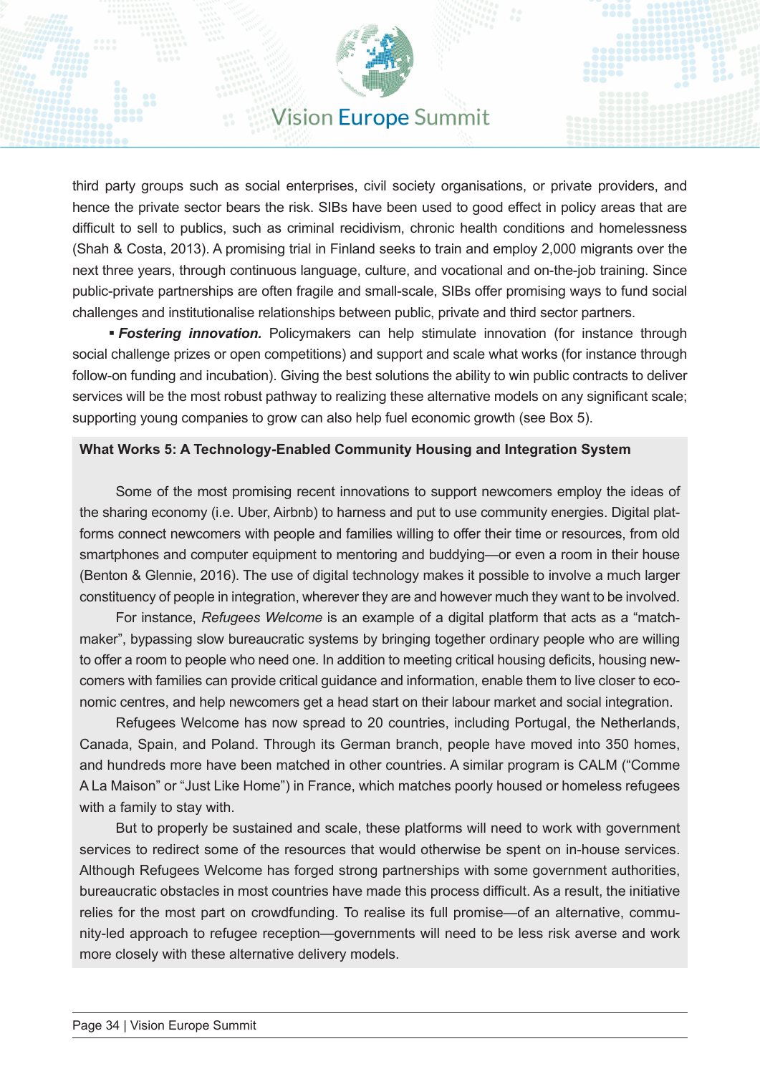

third party groups such as social enterprises, civil society organisations, or private providers, and hence the private sector bears the risk. SIBs have been used to good effect in policy areas that are difficult to sell to publics, such as criminal recidivism, chronic health conditions and homelessness (Shah & Costa, 2013). A promising trial in Finland seeks to train and employ 2,000 migrants over the next three years, through continuous language, culture, and vocational and on-the-job training. Since public-private partnerships are often fragile and small-scale, SIBs offer promising ways to fund social challenges and institutionalise relationships between public, private and third sector partners.

**• Fostering innovation.** Policymakers can help stimulate innovation (for instance through social challenge prizes or open competitions) and support and scale what works (for instance through follow-on funding and incubation). Giving the best solutions the ability to win public contracts to deliver services will be the most robust pathway to realizing these alternative models on any significant scale; supporting young companies to grow can also help fuel economic growth (see Box 5).

#### **What Works 5: A Technology-Enabled Community Housing and Integration System**

Some of the most promising recent innovations to support newcomers employ the ideas of the sharing economy (i.e. Uber, Airbnb) to harness and put to use community energies. Digital platforms connect newcomers with people and families willing to offer their time or resources, from old smartphones and computer equipment to mentoring and buddying—or even a room in their house (Benton & Glennie, 2016). The use of digital technology makes it possible to involve a much larger constituency of people in integration, wherever they are and however much they want to be involved.

For instance, *Refugees Welcome* is an example of a digital platform that acts as a "matchmaker", bypassing slow bureaucratic systems by bringing together ordinary people who are willing to offer a room to people who need one. In addition to meeting critical housing deficits, housing newcomers with families can provide critical guidance and information, enable them to live closer to economic centres, and help newcomers get a head start on their labour market and social integration.

Refugees Welcome has now spread to 20 countries, including Portugal, the Netherlands, Canada, Spain, and Poland. Through its German branch, people have moved into 350 homes, and hundreds more have been matched in other countries. A similar program is CALM ("Comme A La Maison" or "Just Like Home") in France, which matches poorly housed or homeless refugees with a family to stay with.

But to properly be sustained and scale, these platforms will need to work with government services to redirect some of the resources that would otherwise be spent on in-house services. Although Refugees Welcome has forged strong partnerships with some government authorities, bureaucratic obstacles in most countries have made this process difficult. As a result, the initiative relies for the most part on crowdfunding. To realise its full promise—of an alternative, community-led approach to refugee reception—governments will need to be less risk averse and work more closely with these alternative delivery models.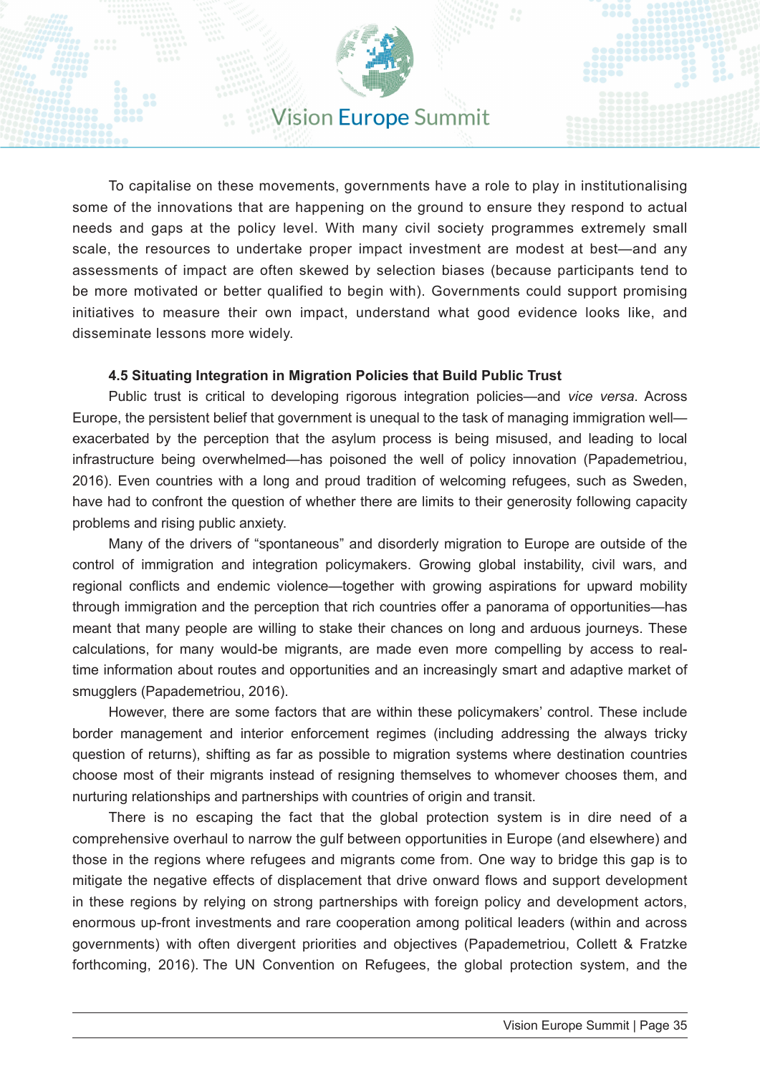

To capitalise on these movements, governments have a role to play in institutionalising some of the innovations that are happening on the ground to ensure they respond to actual needs and gaps at the policy level. With many civil society programmes extremely small scale, the resources to undertake proper impact investment are modest at best—and any assessments of impact are often skewed by selection biases (because participants tend to be more motivated or better qualified to begin with). Governments could support promising initiatives to measure their own impact, understand what good evidence looks like, and disseminate lessons more widely.

#### **4.5 Situating Integration in Migration Policies that Build Public Trust**

Public trust is critical to developing rigorous integration policies—and *vice versa*. Across Europe, the persistent belief that government is unequal to the task of managing immigration well exacerbated by the perception that the asylum process is being misused, and leading to local infrastructure being overwhelmed—has poisoned the well of policy innovation (Papademetriou, 2016). Even countries with a long and proud tradition of welcoming refugees, such as Sweden, have had to confront the question of whether there are limits to their generosity following capacity problems and rising public anxiety.

Many of the drivers of "spontaneous" and disorderly migration to Europe are outside of the control of immigration and integration policymakers. Growing global instability, civil wars, and regional conflicts and endemic violence—together with growing aspirations for upward mobility through immigration and the perception that rich countries offer a panorama of opportunities—has meant that many people are willing to stake their chances on long and arduous journeys. These calculations, for many would-be migrants, are made even more compelling by access to realtime information about routes and opportunities and an increasingly smart and adaptive market of smugglers (Papademetriou, 2016).

However, there are some factors that are within these policymakers' control. These include border management and interior enforcement regimes (including addressing the always tricky question of returns), shifting as far as possible to migration systems where destination countries choose most of their migrants instead of resigning themselves to whomever chooses them, and nurturing relationships and partnerships with countries of origin and transit.

There is no escaping the fact that the global protection system is in dire need of a comprehensive overhaul to narrow the gulf between opportunities in Europe (and elsewhere) and those in the regions where refugees and migrants come from. One way to bridge this gap is to mitigate the negative effects of displacement that drive onward flows and support development in these regions by relying on strong partnerships with foreign policy and development actors, enormous up-front investments and rare cooperation among political leaders (within and across governments) with often divergent priorities and objectives (Papademetriou, Collett & Fratzke forthcoming, 2016). The UN Convention on Refugees, the global protection system, and the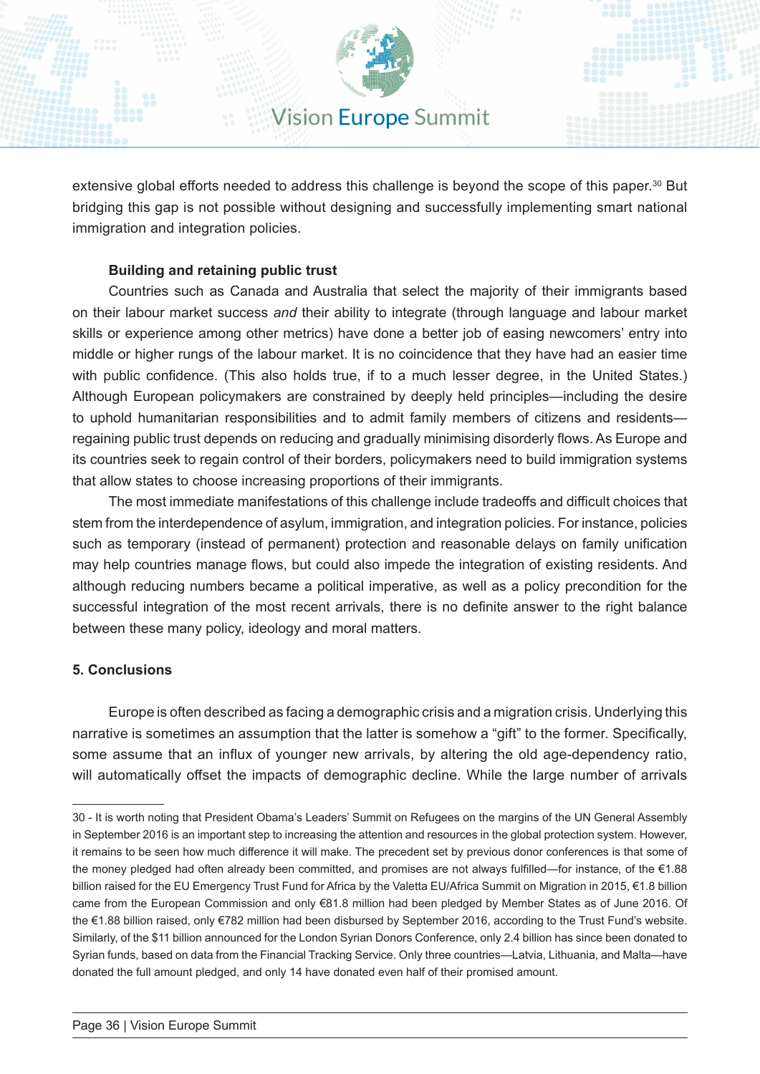extensive global efforts needed to address this challenge is beyond the scope of this paper.<sup>30</sup> But bridging this gap is not possible without designing and successfully implementing smart national immigration and integration policies.

#### **Building and retaining public trust**

Countries such as Canada and Australia that select the majority of their immigrants based on their labour market success *and* their ability to integrate (through language and labour market skills or experience among other metrics) have done a better job of easing newcomers' entry into middle or higher rungs of the labour market. It is no coincidence that they have had an easier time with public confidence. (This also holds true, if to a much lesser degree, in the United States.) Although European policymakers are constrained by deeply held principles—including the desire to uphold humanitarian responsibilities and to admit family members of citizens and residents regaining public trust depends on reducing and gradually minimising disorderly flows. As Europe and its countries seek to regain control of their borders, policymakers need to build immigration systems that allow states to choose increasing proportions of their immigrants.

The most immediate manifestations of this challenge include tradeoffs and difficult choices that stem from the interdependence of asylum, immigration, and integration policies. For instance, policies such as temporary (instead of permanent) protection and reasonable delays on family unification may help countries manage flows, but could also impede the integration of existing residents. And although reducing numbers became a political imperative, as well as a policy precondition for the successful integration of the most recent arrivals, there is no definite answer to the right balance between these many policy, ideology and moral matters.

#### **5. Conclusions**

Europe is often described as facing a demographic crisis and a migration crisis. Underlying this narrative is sometimes an assumption that the latter is somehow a "gift" to the former. Specifically, some assume that an influx of younger new arrivals, by altering the old age-dependency ratio, will automatically offset the impacts of demographic decline. While the large number of arrivals

<sup>30 -</sup> It is worth noting that President Obama's Leaders' Summit on Refugees on the margins of the UN General Assembly in September 2016 is an important step to increasing the attention and resources in the global protection system. However, it remains to be seen how much difference it will make. The precedent set by previous donor conferences is that some of the money pledged had often already been committed, and promises are not always fulfilled—for instance, of the €1.88 billion raised for the EU Emergency Trust Fund for Africa by the Valetta EU/Africa Summit on Migration in 2015, €1.8 billion came from the European Commission and only €81.8 million had been pledged by Member States as of June 2016. Of the €1.88 billion raised, only €782 million had been disbursed by September 2016, according to the Trust Fund's website. Similarly, of the \$11 billion announced for the London Syrian Donors Conference, only 2.4 billion has since been donated to Syrian funds, based on data from the Financial Tracking Service. Only three countries—Latvia, Lithuania, and Malta—have donated the full amount pledged, and only 14 have donated even half of their promised amount.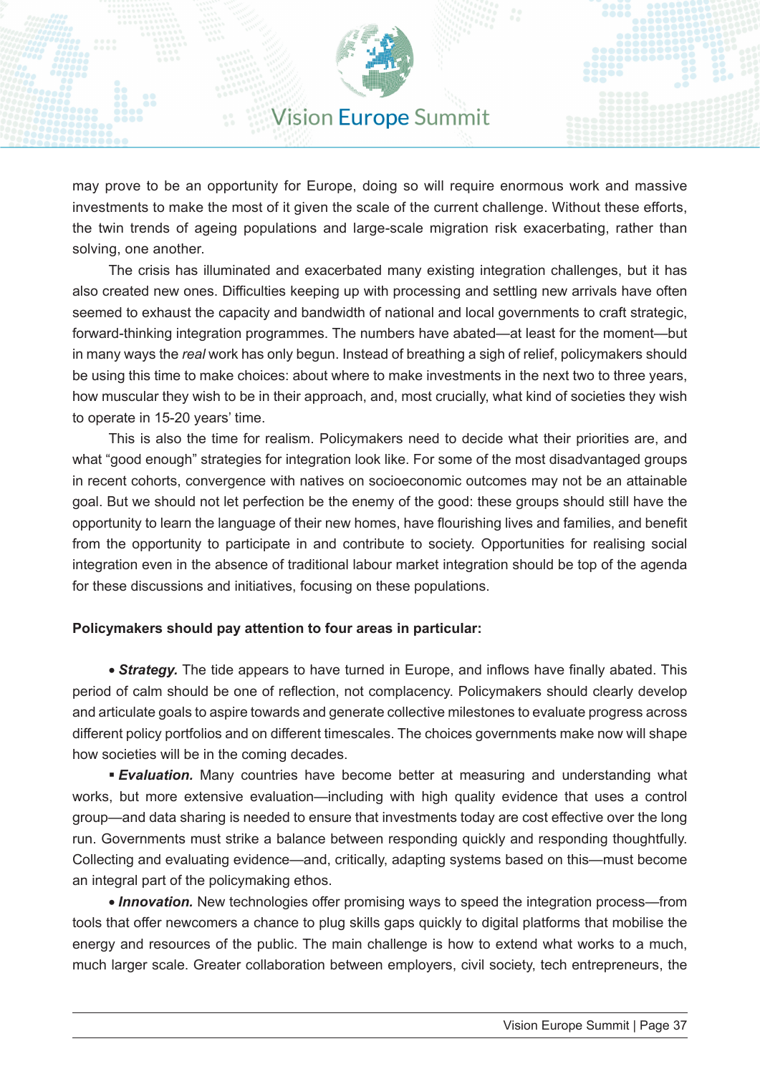may prove to be an opportunity for Europe, doing so will require enormous work and massive investments to make the most of it given the scale of the current challenge. Without these efforts, the twin trends of ageing populations and large-scale migration risk exacerbating, rather than solving, one another.

The crisis has illuminated and exacerbated many existing integration challenges, but it has also created new ones. Difficulties keeping up with processing and settling new arrivals have often seemed to exhaust the capacity and bandwidth of national and local governments to craft strategic, forward-thinking integration programmes. The numbers have abated—at least for the moment—but in many ways the *real* work has only begun. Instead of breathing a sigh of relief, policymakers should be using this time to make choices: about where to make investments in the next two to three years, how muscular they wish to be in their approach, and, most crucially, what kind of societies they wish to operate in 15-20 years' time.

This is also the time for realism. Policymakers need to decide what their priorities are, and what "good enough" strategies for integration look like. For some of the most disadvantaged groups in recent cohorts, convergence with natives on socioeconomic outcomes may not be an attainable goal. But we should not let perfection be the enemy of the good: these groups should still have the opportunity to learn the language of their new homes, have flourishing lives and families, and benefit from the opportunity to participate in and contribute to society. Opportunities for realising social integration even in the absence of traditional labour market integration should be top of the agenda for these discussions and initiatives, focusing on these populations.

### **Policymakers should pay attention to four areas in particular:**

• **Strategy.** The tide appears to have turned in Europe, and inflows have finally abated. This period of calm should be one of reflection, not complacency. Policymakers should clearly develop and articulate goals to aspire towards and generate collective milestones to evaluate progress across different policy portfolios and on different timescales. The choices governments make now will shape how societies will be in the coming decades.

**Evaluation.** Many countries have become better at measuring and understanding what works, but more extensive evaluation—including with high quality evidence that uses a control group—and data sharing is needed to ensure that investments today are cost effective over the long run. Governments must strike a balance between responding quickly and responding thoughtfully. Collecting and evaluating evidence—and, critically, adapting systems based on this—must become an integral part of the policymaking ethos.

• **Innovation.** New technologies offer promising ways to speed the integration process—from tools that offer newcomers a chance to plug skills gaps quickly to digital platforms that mobilise the energy and resources of the public. The main challenge is how to extend what works to a much, much larger scale. Greater collaboration between employers, civil society, tech entrepreneurs, the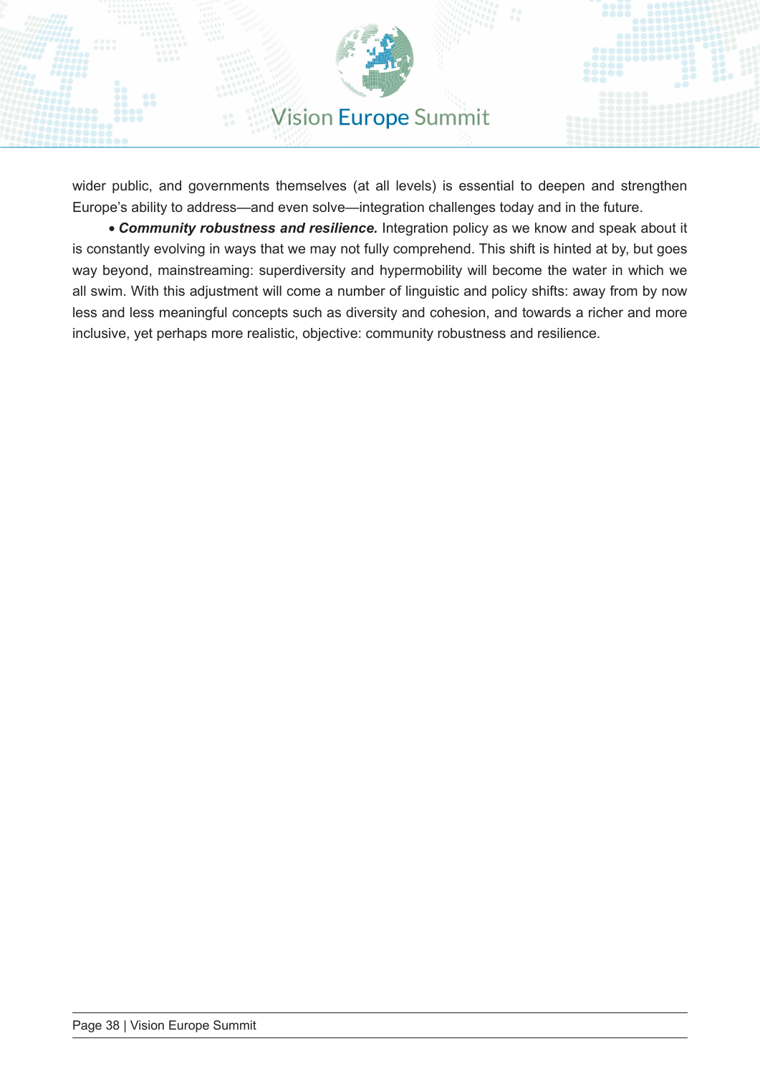

wider public, and governments themselves (at all levels) is essential to deepen and strengthen Europe's ability to address—and even solve—integration challenges today and in the future.

• *Community robustness and resilience.* Integration policy as we know and speak about it is constantly evolving in ways that we may not fully comprehend. This shift is hinted at by, but goes way beyond, mainstreaming: superdiversity and hypermobility will become the water in which we all swim. With this adjustment will come a number of linguistic and policy shifts: away from by now less and less meaningful concepts such as diversity and cohesion, and towards a richer and more inclusive, yet perhaps more realistic, objective: community robustness and resilience.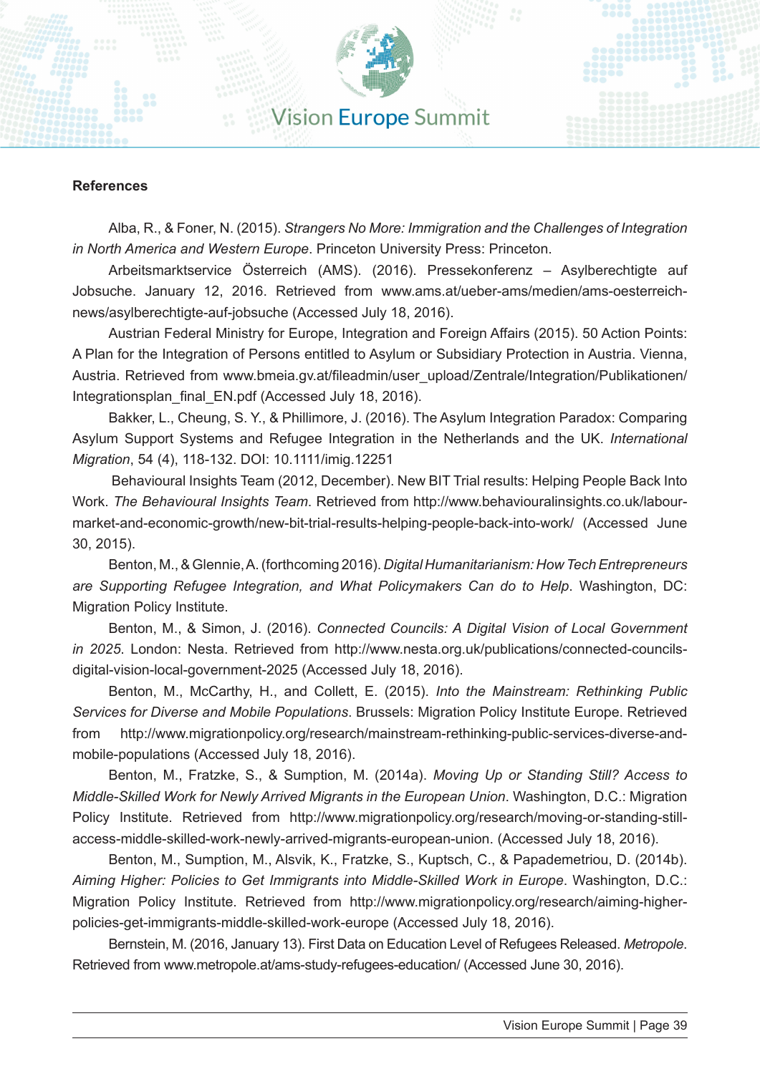#### **References**

Alba, R., & Foner, N. (2015). *Strangers No More: Immigration and the Challenges of Integration in North America and Western Europe*. Princeton University Press: Princeton.

Arbeitsmarktservice Österreich (AMS). (2016). Pressekonferenz – Asylberechtigte auf Jobsuche. January 12, 2016. Retrieved from www.ams.at/ueber-ams/medien/ams-oesterreichnews/asylberechtigte-auf-jobsuche (Accessed July 18, 2016).

Austrian Federal Ministry for Europe, Integration and Foreign Affairs (2015). 50 Action Points: A Plan for the Integration of Persons entitled to Asylum or Subsidiary Protection in Austria. Vienna, Austria. Retrieved from www.bmeia.gv.at/fileadmin/user\_upload/Zentrale/Integration/Publikationen/ Integrationsplan\_final\_EN.pdf (Accessed July 18, 2016).

Bakker, L., Cheung, S. Y., & Phillimore, J. (2016). The Asylum Integration Paradox: Comparing Asylum Support Systems and Refugee Integration in the Netherlands and the UK. *International Migration*, 54 (4), 118-132. DOI: 10.1111/imig.12251

 Behavioural Insights Team (2012, December). New BIT Trial results: Helping People Back Into Work. *The Behavioural Insights Team*. Retrieved from http://www.behaviouralinsights.co.uk/labourmarket-and-economic-growth/new-bit-trial-results-helping-people-back-into-work/ (Accessed June 30, 2015).

Benton, M., & Glennie, A. (forthcoming 2016). *Digital Humanitarianism: How Tech Entrepreneurs are Supporting Refugee Integration, and What Policymakers Can do to Help*. Washington, DC: Migration Policy Institute.

Benton, M., & Simon, J. (2016). *Connected Councils: A Digital Vision of Local Government in 2025*. London: Nesta. Retrieved from http://www.nesta.org.uk/publications/connected-councilsdigital-vision-local-government-2025 (Accessed July 18, 2016).

Benton, M., McCarthy, H., and Collett, E. (2015). *Into the Mainstream: Rethinking Public Services for Diverse and Mobile Populations*. Brussels: Migration Policy Institute Europe. Retrieved from http://www.migrationpolicy.org/research/mainstream-rethinking-public-services-diverse-andmobile-populations (Accessed July 18, 2016).

Benton, M., Fratzke, S., & Sumption, M. (2014a). *Moving Up or Standing Still? Access to Middle-Skilled Work for Newly Arrived Migrants in the European Union*. Washington, D.C.: Migration Policy Institute. Retrieved from http://www.migrationpolicy.org/research/moving-or-standing-stillaccess-middle-skilled-work-newly-arrived-migrants-european-union. (Accessed July 18, 2016).

Benton, M., Sumption, M., Alsvik, K., Fratzke, S., Kuptsch, C., & Papademetriou, D. (2014b). *Aiming Higher: Policies to Get Immigrants into Middle-Skilled Work in Europe*. Washington, D.C.: Migration Policy Institute. Retrieved from http://www.migrationpolicy.org/research/aiming-higherpolicies-get-immigrants-middle-skilled-work-europe (Accessed July 18, 2016).

Bernstein, M. (2016, January 13). First Data on Education Level of Refugees Released. *Metropole*. Retrieved from www.metropole.at/ams-study-refugees-education/ (Accessed June 30, 2016).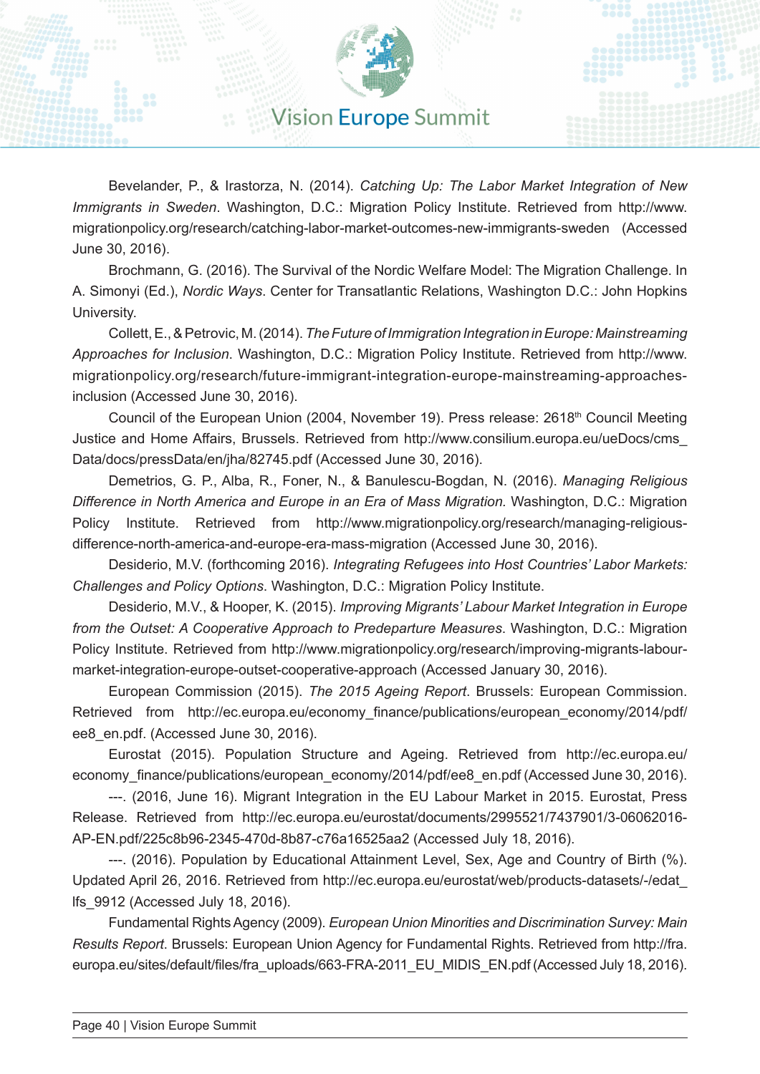

Bevelander, P., & Irastorza, N. (2014). *Catching Up: The Labor Market Integration of New Immigrants in Sweden*. Washington, D.C.: Migration Policy Institute. Retrieved from http://www. migrationpolicy.org/research/catching-labor-market-outcomes-new-immigrants-sweden (Accessed June 30, 2016).

Brochmann, G. (2016). The Survival of the Nordic Welfare Model: The Migration Challenge. In A. Simonyi (Ed.), *Nordic Ways*. Center for Transatlantic Relations, Washington D.C.: John Hopkins University.

Collett, E., & Petrovic, M. (2014). *The Future of Immigration Integration in Europe: Mainstreaming Approaches for Inclusion*. Washington, D.C.: Migration Policy Institute. Retrieved from http://www. migrationpolicy.org/research/future-immigrant-integration-europe-mainstreaming-approachesinclusion (Accessed June 30, 2016).

Council of the European Union (2004, November 19). Press release: 2618<sup>th</sup> Council Meeting Justice and Home Affairs, Brussels. Retrieved from http://www.consilium.europa.eu/ueDocs/cms\_ Data/docs/pressData/en/jha/82745.pdf (Accessed June 30, 2016).

Demetrios, G. P., Alba, R., Foner, N., & Banulescu-Bogdan, N. (2016). *Managing Religious Difference in North America and Europe in an Era of Mass Migration.* Washington, D.C.: Migration Policy Institute. Retrieved from http://www.migrationpolicy.org/research/managing-religiousdifference-north-america-and-europe-era-mass-migration (Accessed June 30, 2016).

Desiderio, M.V. (forthcoming 2016). *Integrating Refugees into Host Countries' Labor Markets: Challenges and Policy Options*. Washington, D.C.: Migration Policy Institute.

Desiderio, M.V., & Hooper, K. (2015). *Improving Migrants' Labour Market Integration in Europe from the Outset: A Cooperative Approach to Predeparture Measures*. Washington, D.C.: Migration Policy Institute. Retrieved from http://www.migrationpolicy.org/research/improving-migrants-labourmarket-integration-europe-outset-cooperative-approach (Accessed January 30, 2016).

European Commission (2015). *The 2015 Ageing Report*. Brussels: European Commission. Retrieved from http://ec.europa.eu/economy\_finance/publications/european\_economy/2014/pdf/ ee8\_en.pdf. (Accessed June 30, 2016).

Eurostat (2015). Population Structure and Ageing. Retrieved from http://ec.europa.eu/ economy\_finance/publications/european\_economy/2014/pdf/ee8\_en.pdf (Accessed June 30, 2016).

---. (2016, June 16). Migrant Integration in the EU Labour Market in 2015. Eurostat, Press Release. Retrieved from http://ec.europa.eu/eurostat/documents/2995521/7437901/3-06062016- AP-EN.pdf/225c8b96-2345-470d-8b87-c76a16525aa2 (Accessed July 18, 2016).

---. (2016). Population by Educational Attainment Level, Sex, Age and Country of Birth (%). Updated April 26, 2016. Retrieved from http://ec.europa.eu/eurostat/web/products-datasets/-/edat\_ lfs\_9912 (Accessed July 18, 2016).

Fundamental Rights Agency (2009). *European Union Minorities and Discrimination Survey: Main Results Report*. Brussels: European Union Agency for Fundamental Rights. Retrieved from http://fra. europa.eu/sites/default/files/fra\_uploads/663-FRA-2011\_EU\_MIDIS\_EN.pdf (Accessed July 18, 2016).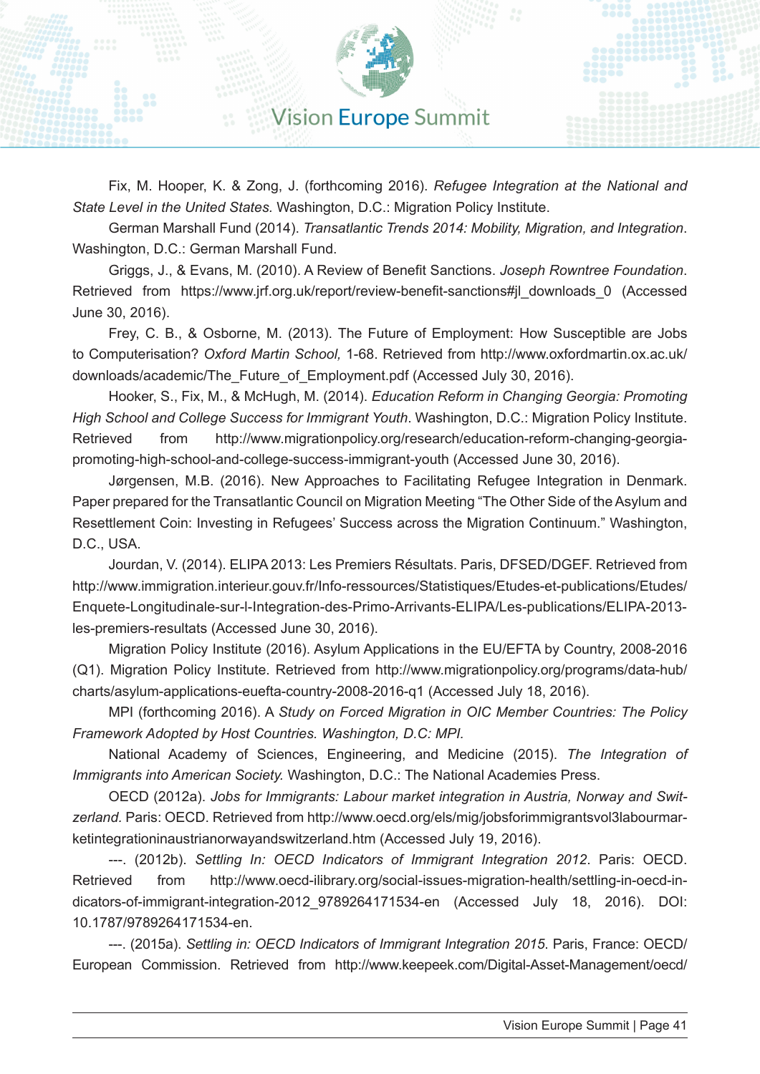

Fix, M. Hooper, K. & Zong, J. (forthcoming 2016). *Refugee Integration at the National and State Level in the United States.* Washington, D.C.: Migration Policy Institute.

German Marshall Fund (2014). *Transatlantic Trends 2014: Mobility, Migration, and Integration*. Washington, D.C.: German Marshall Fund.

Griggs, J., & Evans, M. (2010). A Review of Benefit Sanctions. *Joseph Rowntree Foundation*. Retrieved from https://www.jrf.org.uk/report/review-benefit-sanctions#jl\_downloads\_0 (Accessed June 30, 2016).

Frey, C. B., & Osborne, M. (2013). The Future of Employment: How Susceptible are Jobs to Computerisation? *Oxford Martin School,* 1-68. Retrieved from http://www.oxfordmartin.ox.ac.uk/ downloads/academic/The\_Future\_of\_Employment.pdf (Accessed July 30, 2016).

Hooker, S., Fix, M., & McHugh, M. (2014). *Education Reform in Changing Georgia: Promoting High School and College Success for Immigrant Youth*. Washington, D.C.: Migration Policy Institute. Retrieved from http://www.migrationpolicy.org/research/education-reform-changing-georgiapromoting-high-school-and-college-success-immigrant-youth (Accessed June 30, 2016).

Jørgensen, M.B. (2016). New Approaches to Facilitating Refugee Integration in Denmark. Paper prepared for the Transatlantic Council on Migration Meeting "The Other Side of the Asylum and Resettlement Coin: Investing in Refugees' Success across the Migration Continuum." Washington, D.C., USA.

Jourdan, V. (2014). ELIPA 2013: Les Premiers Résultats. Paris, DFSED/DGEF. Retrieved from http://www.immigration.interieur.gouv.fr/Info-ressources/Statistiques/Etudes-et-publications/Etudes/ Enquete-Longitudinale-sur-l-Integration-des-Primo-Arrivants-ELIPA/Les-publications/ELIPA-2013 les-premiers-resultats (Accessed June 30, 2016).

Migration Policy Institute (2016). Asylum Applications in the EU/EFTA by Country, 2008-2016 (Q1). Migration Policy Institute. Retrieved from http://www.migrationpolicy.org/programs/data-hub/ charts/asylum-applications-euefta-country-2008-2016-q1 (Accessed July 18, 2016).

MPI (forthcoming 2016). A *Study on Forced Migration in OIC Member Countries: The Policy Framework Adopted by Host Countries. Washington, D.C: MPI.*

National Academy of Sciences, Engineering, and Medicine (2015). *The Integration of Immigrants into American Society.* Washington, D.C.: The National Academies Press.

OECD (2012a). *Jobs for Immigrants: Labour market integration in Austria, Norway and Switzerland.* Paris: OECD. Retrieved from http://www.oecd.org/els/mig/jobsforimmigrantsvol3labourmarketintegrationinaustrianorwayandswitzerland.htm (Accessed July 19, 2016).

---. (2012b). *Settling In: OECD Indicators of Immigrant Integration 2012*. Paris: OECD. Retrieved from http://www.oecd-ilibrary.org/social-issues-migration-health/settling-in-oecd-indicators-of-immigrant-integration-2012\_9789264171534-en (Accessed July 18, 2016). DOI: 10.1787/9789264171534-en.

---. (2015a). *Settling in: OECD Indicators of Immigrant Integration 2015*. Paris, France: OECD/ European Commission. Retrieved from http://www.keepeek.com/Digital-Asset-Management/oecd/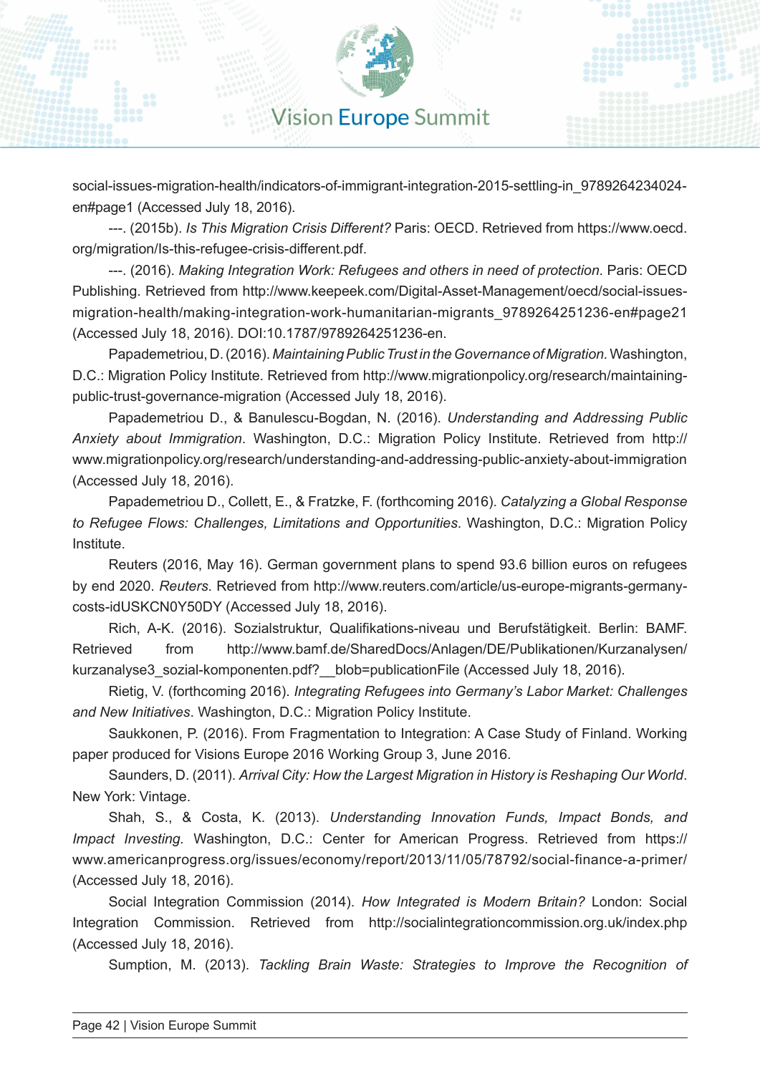

social-issues-migration-health/indicators-of-immigrant-integration-2015-settling-in\_9789264234024 en#page1 (Accessed July 18, 2016).

---. (2015b). *Is This Migration Crisis Different?* Paris: OECD. Retrieved from https://www.oecd. org/migration/Is-this-refugee-crisis-different.pdf.

---. (2016). *Making Integration Work: Refugees and others in need of protection*. Paris: OECD Publishing. Retrieved from http://www.keepeek.com/Digital-Asset-Management/oecd/social-issuesmigration-health/making-integration-work-humanitarian-migrants\_9789264251236-en#page21 (Accessed July 18, 2016). DOI:10.1787/9789264251236-en.

Papademetriou, D. (2016). *Maintaining Public Trust in the Governance of Migration.* Washington, D.C.: Migration Policy Institute. Retrieved from http://www.migrationpolicy.org/research/maintainingpublic-trust-governance-migration (Accessed July 18, 2016).

Papademetriou D., & Banulescu-Bogdan, N. (2016). *Understanding and Addressing Public Anxiety about Immigration*. Washington, D.C.: Migration Policy Institute. Retrieved from http:// www.migrationpolicy.org/research/understanding-and-addressing-public-anxiety-about-immigration (Accessed July 18, 2016).

Papademetriou D., Collett, E., & Fratzke, F. (forthcoming 2016). *Catalyzing a Global Response to Refugee Flows: Challenges, Limitations and Opportunities*. Washington, D.C.: Migration Policy Institute.

Reuters (2016, May 16). German government plans to spend 93.6 billion euros on refugees by end 2020. *Reuters*. Retrieved from http://www.reuters.com/article/us-europe-migrants-germanycosts-idUSKCN0Y50DY (Accessed July 18, 2016).

Rich, A-K. (2016). Sozialstruktur, Qualifikations-niveau und Berufstätigkeit. Berlin: BAMF. Retrieved from http://www.bamf.de/SharedDocs/Anlagen/DE/Publikationen/Kurzanalysen/ kurzanalyse3\_sozial-komponenten.pdf? blob=publicationFile (Accessed July 18, 2016).

Rietig, V. (forthcoming 2016). *Integrating Refugees into Germany's Labor Market: Challenges and New Initiatives*. Washington, D.C.: Migration Policy Institute.

Saukkonen, P. (2016). From Fragmentation to Integration: A Case Study of Finland. Working paper produced for Visions Europe 2016 Working Group 3, June 2016.

Saunders, D. (2011). *Arrival City: How the Largest Migration in History is Reshaping Our World*. New York: Vintage.

Shah, S., & Costa, K. (2013). *Understanding Innovation Funds, Impact Bonds, and Impact Investing.* Washington, D.C.: Center for American Progress. Retrieved from https:// www.americanprogress.org/issues/economy/report/2013/11/05/78792/social-finance-a-primer/ (Accessed July 18, 2016).

Social Integration Commission (2014). *How Integrated is Modern Britain?* London: Social Integration Commission. Retrieved from http://socialintegrationcommission.org.uk/index.php (Accessed July 18, 2016).

Sumption, M. (2013). *Tackling Brain Waste: Strategies to Improve the Recognition of*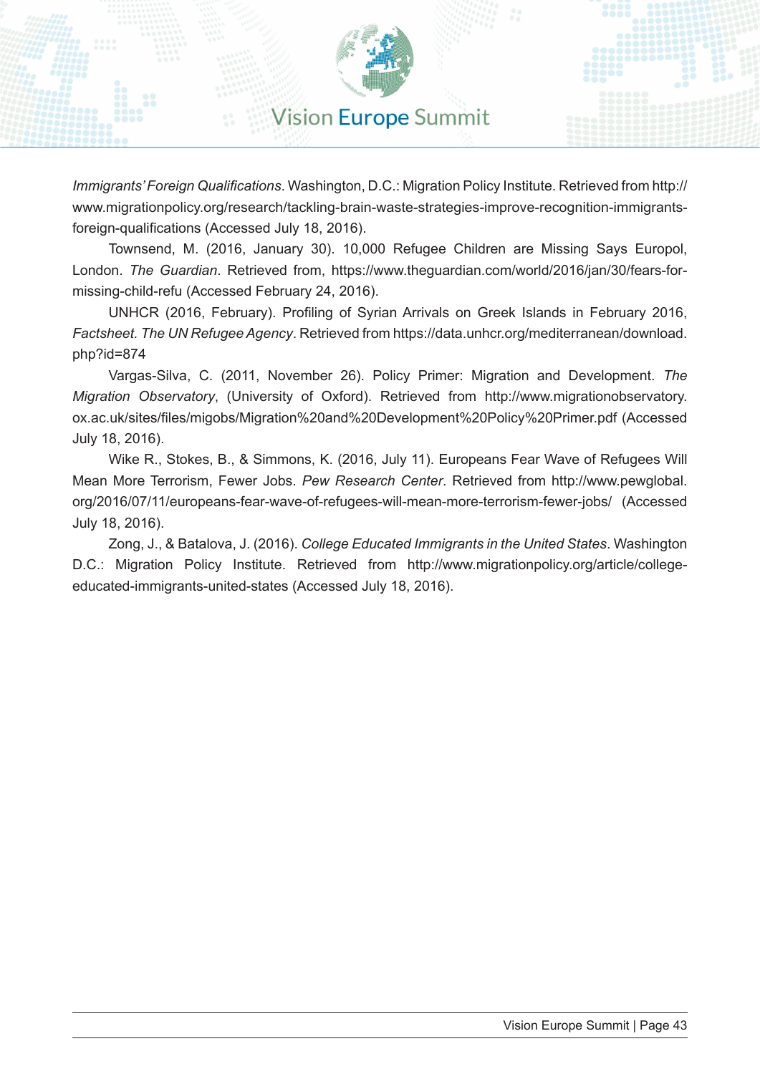*Immigrants' Foreign Qualifications*. Washington, D.C.: Migration Policy Institute. Retrieved from http:// www.migrationpolicy.org/research/tackling-brain-waste-strategies-improve-recognition-immigrantsforeign-qualifications (Accessed July 18, 2016).

Townsend, M. (2016, January 30). 10,000 Refugee Children are Missing Says Europol, London. *The Guardian*. Retrieved from, https://www.theguardian.com/world/2016/jan/30/fears-formissing-child-refu (Accessed February 24, 2016).

UNHCR (2016, February). Profiling of Syrian Arrivals on Greek Islands in February 2016, *Factsheet. The UN Refugee Agency*. Retrieved from https://data.unhcr.org/mediterranean/download. php?id=874

Vargas-Silva, C. (2011, November 26). Policy Primer: Migration and Development. *The Migration Observatory*, (University of Oxford). Retrieved from http://www.migrationobservatory. ox.ac.uk/sites/files/migobs/Migration%20and%20Development%20Policy%20Primer.pdf (Accessed July 18, 2016).

Wike R., Stokes, B., & Simmons, K. (2016, July 11). Europeans Fear Wave of Refugees Will Mean More Terrorism, Fewer Jobs. *Pew Research Center*. Retrieved from http://www.pewglobal. org/2016/07/11/europeans-fear-wave-of-refugees-will-mean-more-terrorism-fewer-jobs/ (Accessed July 18, 2016).

Zong, J., & Batalova, J. (2016). *College Educated Immigrants in the United States*. Washington D.C.: Migration Policy Institute. Retrieved from http://www.migrationpolicy.org/article/collegeeducated-immigrants-united-states (Accessed July 18, 2016).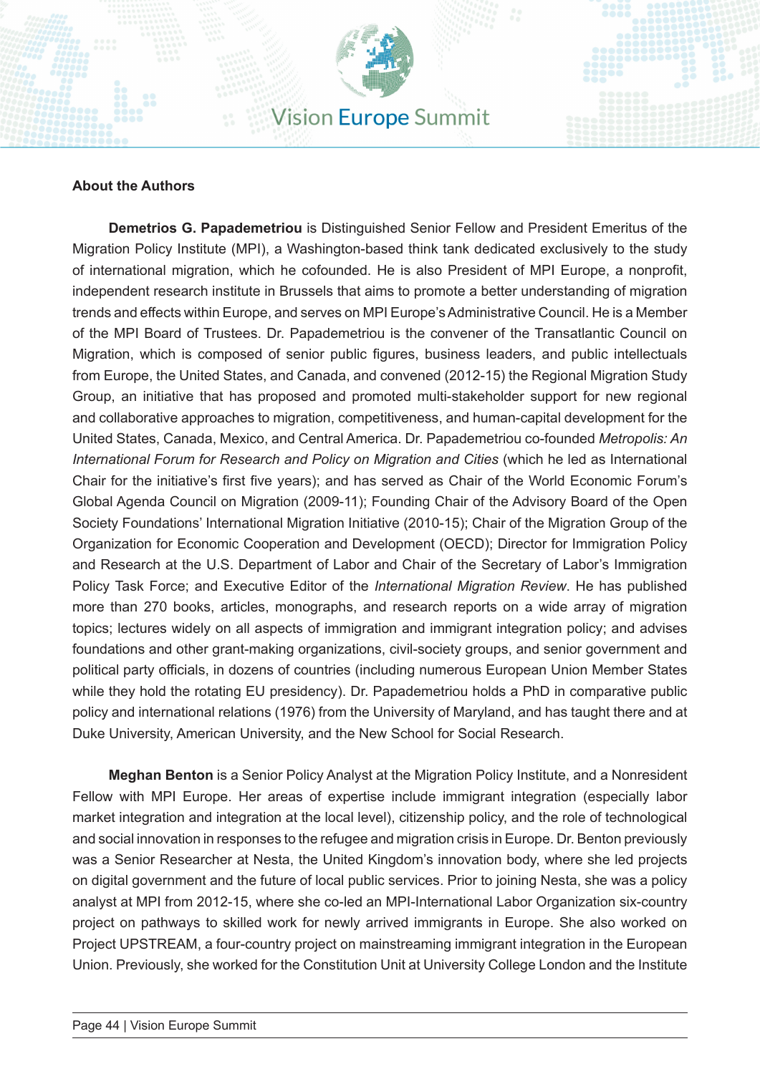#### **About the Authors**

**Demetrios G. Papademetriou** is Distinguished Senior Fellow and President Emeritus of the Migration Policy Institute (MPI), a Washington-based think tank dedicated exclusively to the study of international migration, which he cofounded. He is also President of MPI Europe, a nonprofit, independent research institute in Brussels that aims to promote a better understanding of migration trends and effects within Europe, and serves on MPI Europe's Administrative Council. He is a Member of the MPI Board of Trustees. Dr. Papademetriou is the convener of the Transatlantic Council on Migration, which is composed of senior public figures, business leaders, and public intellectuals from Europe, the United States, and Canada, and convened (2012-15) the Regional Migration Study Group, an initiative that has proposed and promoted multi-stakeholder support for new regional and collaborative approaches to migration, competitiveness, and human-capital development for the United States, Canada, Mexico, and Central America. Dr. Papademetriou co-founded *Metropolis: An International Forum for Research and Policy on Migration and Cities (which he led as International* Chair for the initiative's first five years); and has served as Chair of the World Economic Forum's Global Agenda Council on Migration (2009-11); Founding Chair of the Advisory Board of the Open Society Foundations' International Migration Initiative (2010-15); Chair of the Migration Group of the Organization for Economic Cooperation and Development (OECD); Director for Immigration Policy and Research at the U.S. Department of Labor and Chair of the Secretary of Labor's Immigration Policy Task Force; and Executive Editor of the *International Migration Review*. He has published more than 270 books, articles, monographs, and research reports on a wide array of migration topics; lectures widely on all aspects of immigration and immigrant integration policy; and advises foundations and other grant-making organizations, civil-society groups, and senior government and political party officials, in dozens of countries (including numerous European Union Member States while they hold the rotating EU presidency). Dr. Papademetriou holds a PhD in comparative public policy and international relations (1976) from the University of Maryland, and has taught there and at Duke University, American University, and the New School for Social Research.

**Meghan Benton** is a Senior Policy Analyst at the Migration Policy Institute, and a Nonresident Fellow with MPI Europe. Her areas of expertise include immigrant integration (especially labor market integration and integration at the local level), citizenship policy, and the role of technological and social innovation in responses to the refugee and migration crisis in Europe. Dr. Benton previously was a Senior Researcher at Nesta, the United Kingdom's innovation body, where she led projects on digital government and the future of local public services. Prior to joining Nesta, she was a policy analyst at MPI from 2012-15, where she co-led an MPI-International Labor Organization six-country project on pathways to skilled work for newly arrived immigrants in Europe. She also worked on Project UPSTREAM, a four-country project on mainstreaming immigrant integration in the European Union. Previously, she worked for the Constitution Unit at University College London and the Institute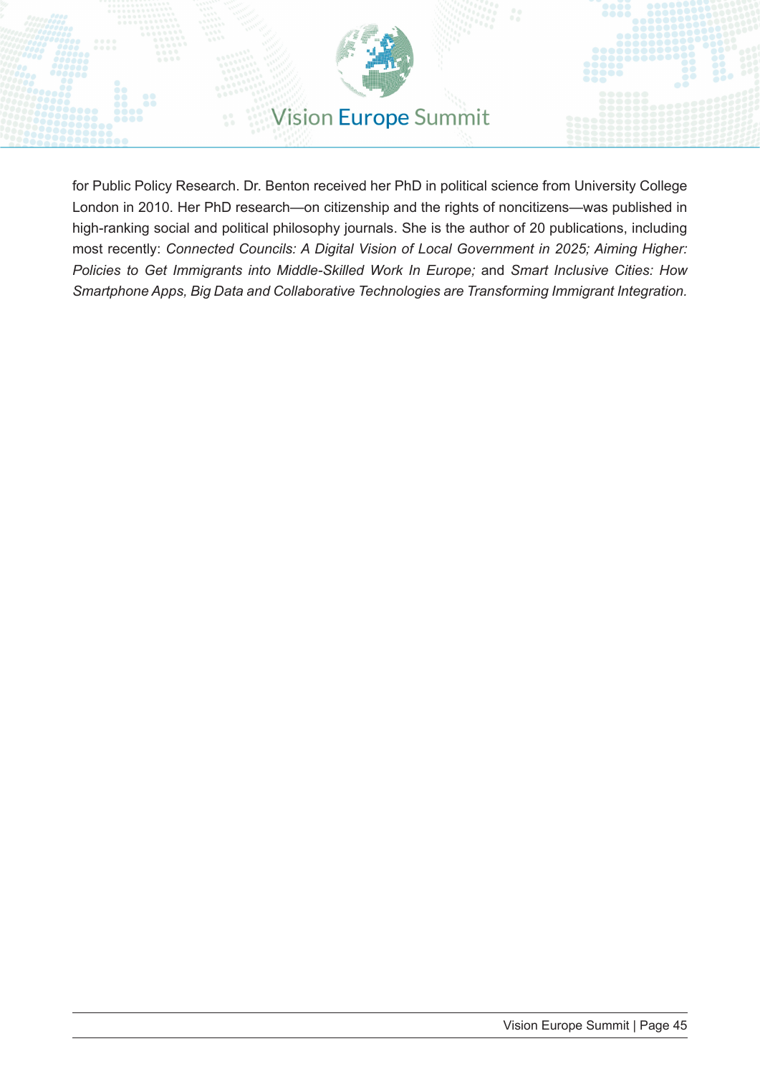

for Public Policy Research. Dr. Benton received her PhD in political science from University College London in 2010. Her PhD research—on citizenship and the rights of noncitizens—was published in high-ranking social and political philosophy journals. She is the author of 20 publications, including most recently: *Connected Councils: A Digital Vision of Local Government in 2025; Aiming Higher: Policies to Get Immigrants into Middle-Skilled Work In Europe;* and *Smart Inclusive Cities: How Smartphone Apps, Big Data and Collaborative Technologies are Transforming Immigrant Integration.*